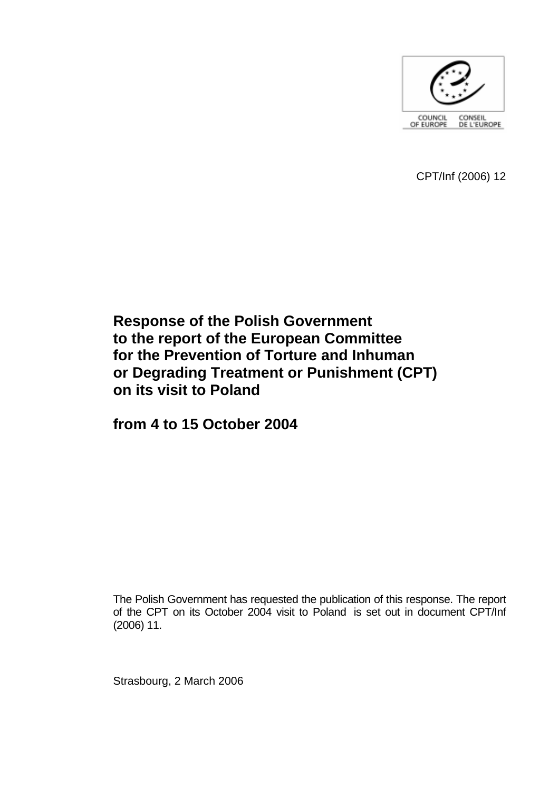

CPT/Inf (2006) 12

# **Response of the Polish Government to the report of the European Committee for the Prevention of Torture and Inhuman or Degrading Treatment or Punishment (CPT) on its visit to Poland**

**from 4 to 15 October 2004** 

The Polish Government has requested the publication of this response. The report of the CPT on its October 2004 visit to Poland is set out in document CPT/Inf (2006) 11.

Strasbourg, 2 March 2006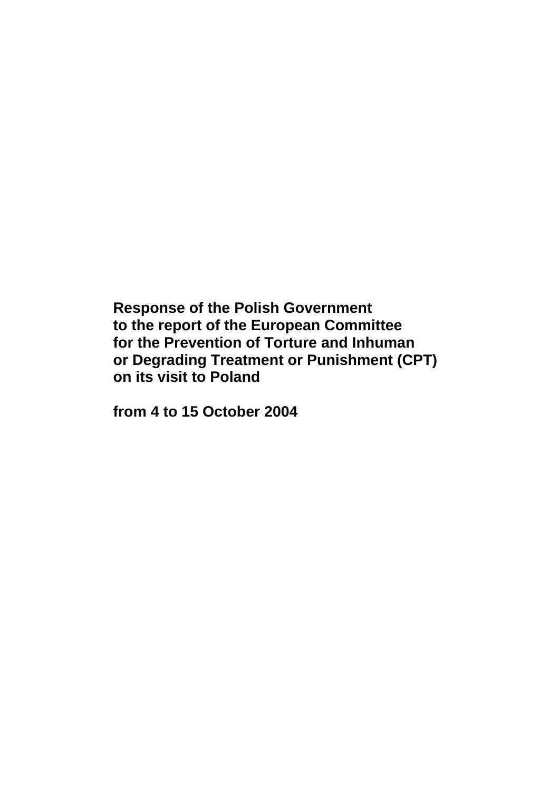**Response of the Polish Government to the report of the European Committee for the Prevention of Torture and Inhuman or Degrading Treatment or Punishment (CPT) on its visit to Poland** 

**from 4 to 15 October 2004**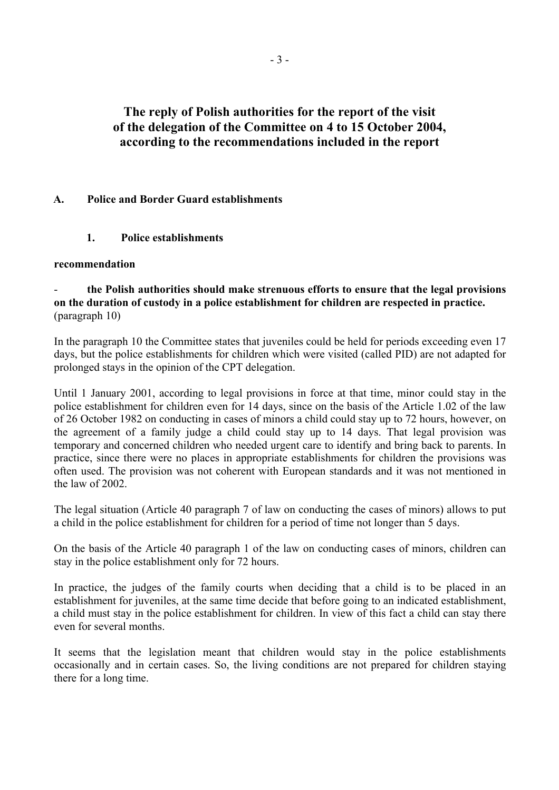# **The reply of Polish authorities for the report of the visit of the delegation of the Committee on 4 to 15 October 2004, according to the recommendations included in the report**

# **A. Police and Border Guard establishments**

# **1. Police establishments**

## **recommendation**

- **the Polish authorities should make strenuous efforts to ensure that the legal provisions on the duration of custody in a police establishment for children are respected in practice.**  (paragraph 10)

In the paragraph 10 the Committee states that juveniles could be held for periods exceeding even 17 days, but the police establishments for children which were visited (called PID) are not adapted for prolonged stays in the opinion of the CPT delegation.

Until 1 January 2001, according to legal provisions in force at that time, minor could stay in the police establishment for children even for 14 days, since on the basis of the Article 1.02 of the law of 26 October 1982 on conducting in cases of minors a child could stay up to 72 hours, however, on the agreement of a family judge a child could stay up to 14 days. That legal provision was temporary and concerned children who needed urgent care to identify and bring back to parents. In practice, since there were no places in appropriate establishments for children the provisions was often used. The provision was not coherent with European standards and it was not mentioned in the law of 2002.

The legal situation (Article 40 paragraph 7 of law on conducting the cases of minors) allows to put a child in the police establishment for children for a period of time not longer than 5 days.

On the basis of the Article 40 paragraph 1 of the law on conducting cases of minors, children can stay in the police establishment only for 72 hours.

In practice, the judges of the family courts when deciding that a child is to be placed in an establishment for juveniles, at the same time decide that before going to an indicated establishment, a child must stay in the police establishment for children. In view of this fact a child can stay there even for several months.

It seems that the legislation meant that children would stay in the police establishments occasionally and in certain cases. So, the living conditions are not prepared for children staying there for a long time.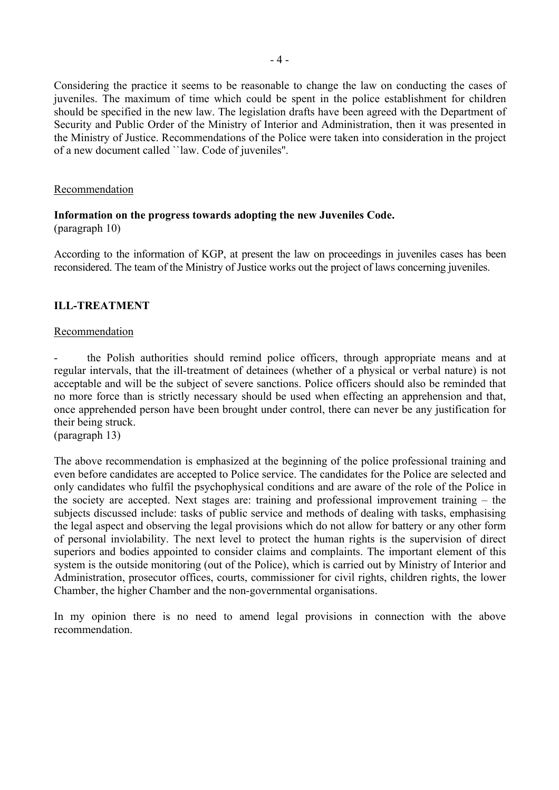Considering the practice it seems to be reasonable to change the law on conducting the cases of juveniles. The maximum of time which could be spent in the police establishment for children should be specified in the new law. The legislation drafts have been agreed with the Department of Security and Public Order of the Ministry of Interior and Administration, then it was presented in the Ministry of Justice. Recommendations of the Police were taken into consideration in the project of a new document called ``law. Code of juveniles''.

### Recommendation

### **Information on the progress towards adopting the new Juveniles Code.**  (paragraph 10)

According to the information of KGP, at present the law on proceedings in juveniles cases has been reconsidered. The team of the Ministry of Justice works out the project of laws concerning juveniles.

# **ILL-TREATMENT**

#### Recommendation

the Polish authorities should remind police officers, through appropriate means and at regular intervals, that the ill-treatment of detainees (whether of a physical or verbal nature) is not acceptable and will be the subject of severe sanctions. Police officers should also be reminded that no more force than is strictly necessary should be used when effecting an apprehension and that, once apprehended person have been brought under control, there can never be any justification for their being struck.

(paragraph 13)

The above recommendation is emphasized at the beginning of the police professional training and even before candidates are accepted to Police service. The candidates for the Police are selected and only candidates who fulfil the psychophysical conditions and are aware of the role of the Police in the society are accepted. Next stages are: training and professional improvement training  $-$  the subjects discussed include: tasks of public service and methods of dealing with tasks, emphasising the legal aspect and observing the legal provisions which do not allow for battery or any other form of personal inviolability. The next level to protect the human rights is the supervision of direct superiors and bodies appointed to consider claims and complaints. The important element of this system is the outside monitoring (out of the Police), which is carried out by Ministry of Interior and Administration, prosecutor offices, courts, commissioner for civil rights, children rights, the lower Chamber, the higher Chamber and the non-governmental organisations.

In my opinion there is no need to amend legal provisions in connection with the above recommendation.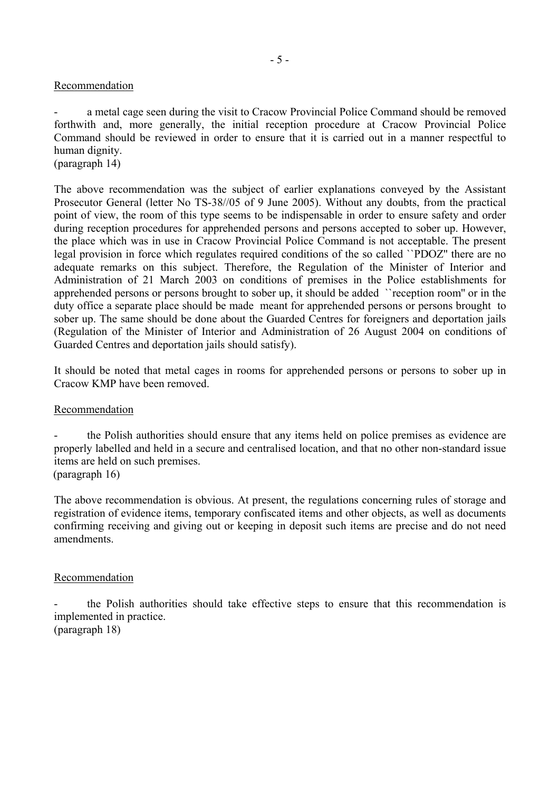## Recommendation

a metal cage seen during the visit to Cracow Provincial Police Command should be removed forthwith and, more generally, the initial reception procedure at Cracow Provincial Police Command should be reviewed in order to ensure that it is carried out in a manner respectful to human dignity.

(paragraph 14)

The above recommendation was the subject of earlier explanations conveyed by the Assistant Prosecutor General (letter No TS-38//05 of 9 June 2005). Without any doubts, from the practical point of view, the room of this type seems to be indispensable in order to ensure safety and order during reception procedures for apprehended persons and persons accepted to sober up. However, the place which was in use in Cracow Provincial Police Command is not acceptable. The present legal provision in force which regulates required conditions of the so called ``PDOZ'' there are no adequate remarks on this subject. Therefore, the Regulation of the Minister of Interior and Administration of 21 March 2003 on conditions of premises in the Police establishments for apprehended persons or persons brought to sober up, it should be added ``reception room'' or in the duty office a separate place should be made meant for apprehended persons or persons brought to sober up. The same should be done about the Guarded Centres for foreigners and deportation jails (Regulation of the Minister of Interior and Administration of 26 August 2004 on conditions of Guarded Centres and deportation jails should satisfy).

It should be noted that metal cages in rooms for apprehended persons or persons to sober up in Cracow KMP have been removed.

## Recommendation

the Polish authorities should ensure that any items held on police premises as evidence are properly labelled and held in a secure and centralised location, and that no other non-standard issue items are held on such premises.

(paragraph 16)

The above recommendation is obvious. At present, the regulations concerning rules of storage and registration of evidence items, temporary confiscated items and other objects, as well as documents confirming receiving and giving out or keeping in deposit such items are precise and do not need amendments.

## Recommendation

- the Polish authorities should take effective steps to ensure that this recommendation is implemented in practice. (paragraph 18)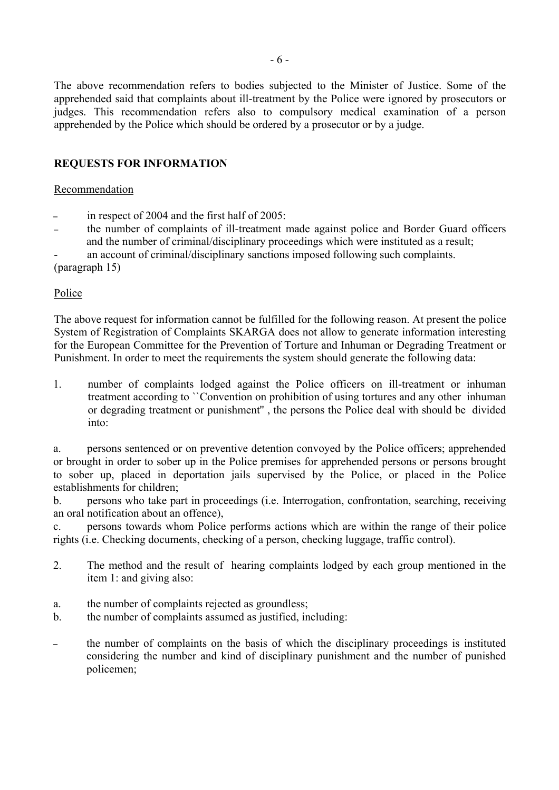The above recommendation refers to bodies subjected to the Minister of Justice. Some of the apprehended said that complaints about ill-treatment by the Police were ignored by prosecutors or judges. This recommendation refers also to compulsory medical examination of a person apprehended by the Police which should be ordered by a prosecutor or by a judge.

# **REQUESTS FOR INFORMATION**

## Recommendation

- in respect of 2004 and the first half of  $2005$ :
- the number of complaints of ill-treatment made against police and Border Guard officers and the number of criminal/disciplinary proceedings which were instituted as a result;

an account of criminal/disciplinary sanctions imposed following such complaints.

(paragraph 15)

# Police

The above request for information cannot be fulfilled for the following reason. At present the police System of Registration of Complaints SKARGA does not allow to generate information interesting for the European Committee for the Prevention of Torture and Inhuman or Degrading Treatment or Punishment. In order to meet the requirements the system should generate the following data:

1. number of complaints lodged against the Police officers on ill-treatment or inhuman treatment according to ``Convention on prohibition of using tortures and any other inhuman or degrading treatment or punishment'' , the persons the Police deal with should be divided into:

a. persons sentenced or on preventive detention convoyed by the Police officers; apprehended or brought in order to sober up in the Police premises for apprehended persons or persons brought to sober up, placed in deportation jails supervised by the Police, or placed in the Police establishments for children;

b. persons who take part in proceedings (i.e. Interrogation, confrontation, searching, receiving an oral notification about an offence),

c. persons towards whom Police performs actions which are within the range of their police rights (i.e. Checking documents, checking of a person, checking luggage, traffic control).

- 2. The method and the result of hearing complaints lodged by each group mentioned in the item 1: and giving also:
- a. the number of complaints rejected as groundless;
- b. the number of complaints assumed as justified, including:
- the number of complaints on the basis of which the disciplinary proceedings is instituted considering the number and kind of disciplinary punishment and the number of punished policemen;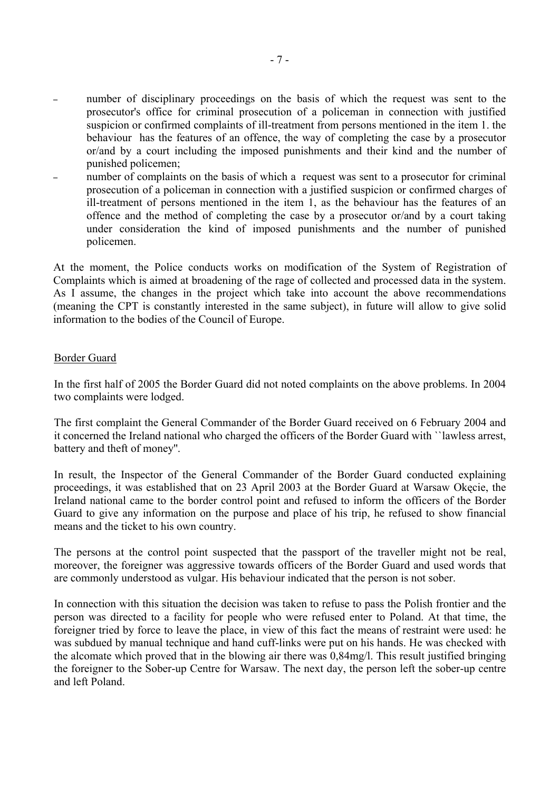- number of disciplinary proceedings on the basis of which the request was sent to the prosecutor's office for criminal prosecution of a policeman in connection with justified suspicion or confirmed complaints of ill-treatment from persons mentioned in the item 1. the behaviour has the features of an offence, the way of completing the case by a prosecutor or/and by a court including the imposed punishments and their kind and the number of punished policemen;
- number of complaints on the basis of which a request was sent to a prosecutor for criminal prosecution of a policeman in connection with a justified suspicion or confirmed charges of ill-treatment of persons mentioned in the item 1, as the behaviour has the features of an offence and the method of completing the case by a prosecutor or/and by a court taking under consideration the kind of imposed punishments and the number of punished policemen.

At the moment, the Police conducts works on modification of the System of Registration of Complaints which is aimed at broadening of the rage of collected and processed data in the system. As I assume, the changes in the project which take into account the above recommendations (meaning the CPT is constantly interested in the same subject), in future will allow to give solid information to the bodies of the Council of Europe.

## Border Guard

In the first half of 2005 the Border Guard did not noted complaints on the above problems. In 2004 two complaints were lodged.

The first complaint the General Commander of the Border Guard received on 6 February 2004 and it concerned the Ireland national who charged the officers of the Border Guard with ``lawless arrest, battery and theft of money''.

In result, the Inspector of the General Commander of the Border Guard conducted explaining proceedings, it was established that on 23 April 2003 at the Border Guard at Warsaw Okęcie, the Ireland national came to the border control point and refused to inform the officers of the Border Guard to give any information on the purpose and place of his trip, he refused to show financial means and the ticket to his own country.

The persons at the control point suspected that the passport of the traveller might not be real, moreover, the foreigner was aggressive towards officers of the Border Guard and used words that are commonly understood as vulgar. His behaviour indicated that the person is not sober.

In connection with this situation the decision was taken to refuse to pass the Polish frontier and the person was directed to a facility for people who were refused enter to Poland. At that time, the foreigner tried by force to leave the place, in view of this fact the means of restraint were used: he was subdued by manual technique and hand cuff-links were put on his hands. He was checked with the alcomate which proved that in the blowing air there was 0,84mg/l. This result justified bringing the foreigner to the Sober-up Centre for Warsaw. The next day, the person left the sober-up centre and left Poland.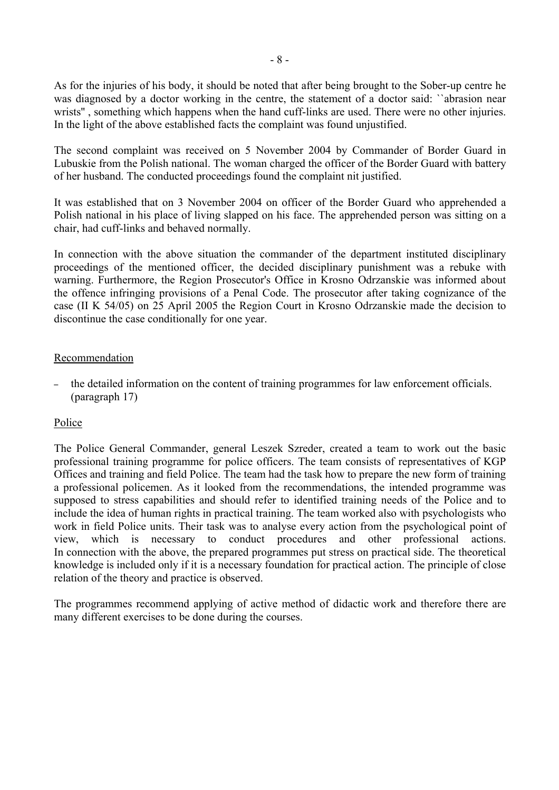As for the injuries of his body, it should be noted that after being brought to the Sober-up centre he was diagnosed by a doctor working in the centre, the statement of a doctor said: ``abrasion near wrists'' , something which happens when the hand cuff-links are used. There were no other injuries. In the light of the above established facts the complaint was found unjustified.

The second complaint was received on 5 November 2004 by Commander of Border Guard in Lubuskie from the Polish national. The woman charged the officer of the Border Guard with battery of her husband. The conducted proceedings found the complaint nit justified.

It was established that on 3 November 2004 on officer of the Border Guard who apprehended a Polish national in his place of living slapped on his face. The apprehended person was sitting on a chair, had cuff-links and behaved normally.

In connection with the above situation the commander of the department instituted disciplinary proceedings of the mentioned officer, the decided disciplinary punishment was a rebuke with warning. Furthermore, the Region Prosecutor's Office in Krosno Odrzanskie was informed about the offence infringing provisions of a Penal Code. The prosecutor after taking cognizance of the case (II K 54/05) on 25 April 2005 the Region Court in Krosno Odrzanskie made the decision to discontinue the case conditionally for one year.

# Recommendation

– the detailed information on the content of training programmes for law enforcement officials. (paragraph 17)

# Police

The Police General Commander, general Leszek Szreder, created a team to work out the basic professional training programme for police officers. The team consists of representatives of KGP Offices and training and field Police. The team had the task how to prepare the new form of training a professional policemen. As it looked from the recommendations, the intended programme was supposed to stress capabilities and should refer to identified training needs of the Police and to include the idea of human rights in practical training. The team worked also with psychologists who work in field Police units. Their task was to analyse every action from the psychological point of view, which is necessary to conduct procedures and other professional actions. In connection with the above, the prepared programmes put stress on practical side. The theoretical knowledge is included only if it is a necessary foundation for practical action. The principle of close relation of the theory and practice is observed.

The programmes recommend applying of active method of didactic work and therefore there are many different exercises to be done during the courses.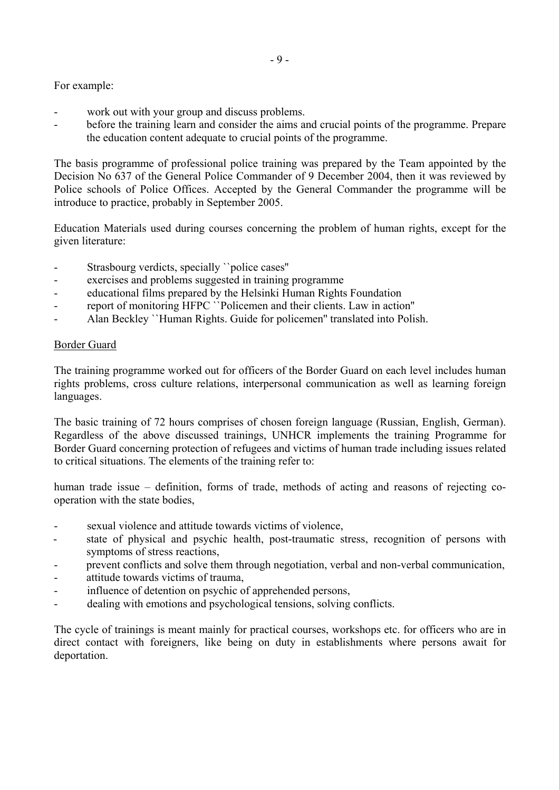For example:

- work out with your group and discuss problems.
- before the training learn and consider the aims and crucial points of the programme. Prepare the education content adequate to crucial points of the programme.

The basis programme of professional police training was prepared by the Team appointed by the Decision No 637 of the General Police Commander of 9 December 2004, then it was reviewed by Police schools of Police Offices. Accepted by the General Commander the programme will be introduce to practice, probably in September 2005.

Education Materials used during courses concerning the problem of human rights, except for the given literature:

- Strasbourg verdicts, specially ``police cases''
- exercises and problems suggested in training programme
- educational films prepared by the Helsinki Human Rights Foundation
- report of monitoring HFPC ``Policemen and their clients. Law in action"
- Alan Beckley ``Human Rights. Guide for policemen'' translated into Polish.

## Border Guard

The training programme worked out for officers of the Border Guard on each level includes human rights problems, cross culture relations, interpersonal communication as well as learning foreign languages.

The basic training of 72 hours comprises of chosen foreign language (Russian, English, German). Regardless of the above discussed trainings, UNHCR implements the training Programme for Border Guard concerning protection of refugees and victims of human trade including issues related to critical situations. The elements of the training refer to:

human trade issue – definition, forms of trade, methods of acting and reasons of rejecting cooperation with the state bodies,

- sexual violence and attitude towards victims of violence,
- state of physical and psychic health, post-traumatic stress, recognition of persons with symptoms of stress reactions,
- prevent conflicts and solve them through negotiation, verbal and non-verbal communication,
- attitude towards victims of trauma,
- influence of detention on psychic of apprehended persons,
- dealing with emotions and psychological tensions, solving conflicts.

The cycle of trainings is meant mainly for practical courses, workshops etc. for officers who are in direct contact with foreigners, like being on duty in establishments where persons await for deportation.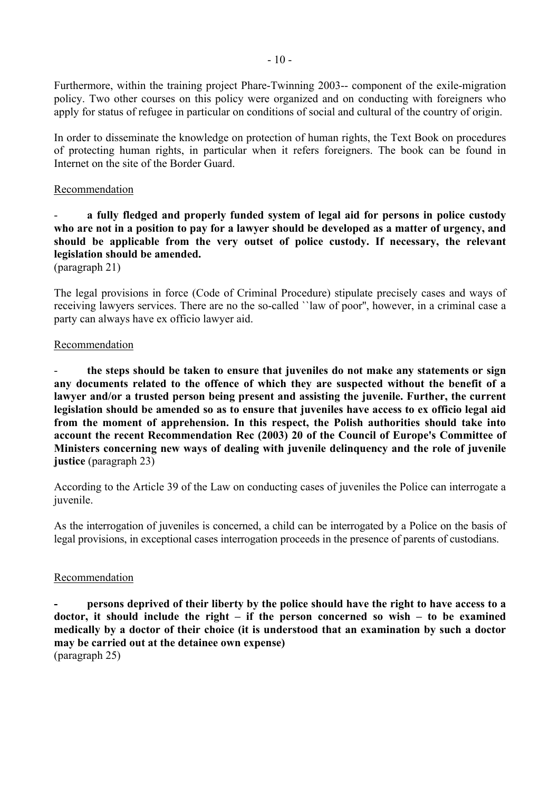Furthermore, within the training project Phare-Twinning 2003-- component of the exile-migration policy. Two other courses on this policy were organized and on conducting with foreigners who apply for status of refugee in particular on conditions of social and cultural of the country of origin.

In order to disseminate the knowledge on protection of human rights, the Text Book on procedures of protecting human rights, in particular when it refers foreigners. The book can be found in Internet on the site of the Border Guard.

## Recommendation

# a fully fledged and properly funded system of legal aid for persons in police custody **who are not in a position to pay for a lawyer should be developed as a matter of urgency, and should be applicable from the very outset of police custody. If necessary, the relevant legislation should be amended.**

(paragraph 21)

The legal provisions in force (Code of Criminal Procedure) stipulate precisely cases and ways of receiving lawyers services. There are no the so-called ``law of poor'', however, in a criminal case a party can always have ex officio lawyer aid.

## Recommendation

- **the steps should be taken to ensure that juveniles do not make any statements or sign any documents related to the offence of which they are suspected without the benefit of a lawyer and/or a trusted person being present and assisting the juvenile. Further, the current legislation should be amended so as to ensure that juveniles have access to ex officio legal aid from the moment of apprehension. In this respect, the Polish authorities should take into account the recent Recommendation Rec (2003) 20 of the Council of Europe's Committee of Ministers concerning new ways of dealing with juvenile delinquency and the role of juvenile justice** (paragraph 23)

According to the Article 39 of the Law on conducting cases of juveniles the Police can interrogate a juvenile.

As the interrogation of juveniles is concerned, a child can be interrogated by a Police on the basis of legal provisions, in exceptional cases interrogation proceeds in the presence of parents of custodians.

## Recommendation

**- persons deprived of their liberty by the police should have the right to have access to a**  doctor, it should include the right  $-$  if the person concerned so wish  $-$  to be examined **medically by a doctor of their choice (it is understood that an examination by such a doctor may be carried out at the detainee own expense)**  (paragraph 25)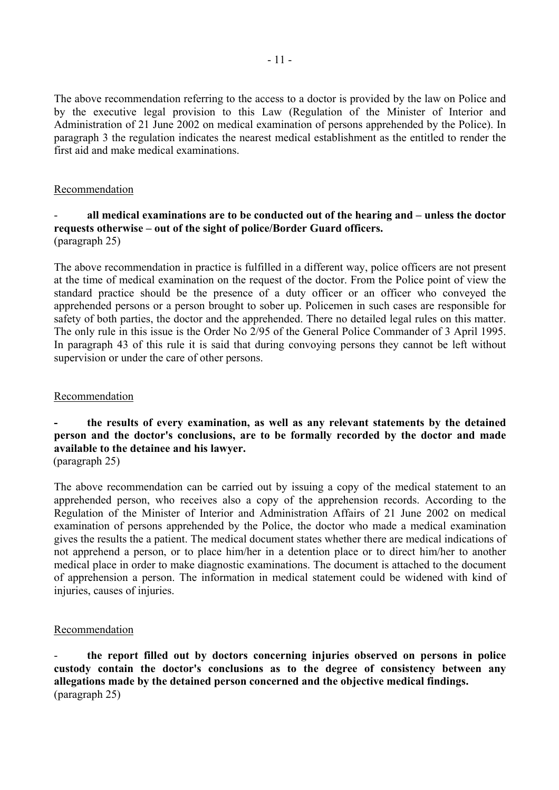The above recommendation referring to the access to a doctor is provided by the law on Police and by the executive legal provision to this Law (Regulation of the Minister of Interior and Administration of 21 June 2002 on medical examination of persons apprehended by the Police). In paragraph 3 the regulation indicates the nearest medical establishment as the entitled to render the first aid and make medical examinations.

# Recommendation

## all medical examinations are to be conducted out of the hearing and – unless the doctor requests otherwise – out of the sight of police/Border Guard officers. (paragraph 25)

The above recommendation in practice is fulfilled in a different way, police officers are not present at the time of medical examination on the request of the doctor. From the Police point of view the standard practice should be the presence of a duty officer or an officer who conveyed the apprehended persons or a person brought to sober up. Policemen in such cases are responsible for safety of both parties, the doctor and the apprehended. There no detailed legal rules on this matter. The only rule in this issue is the Order No 2/95 of the General Police Commander of 3 April 1995. In paragraph 43 of this rule it is said that during convoying persons they cannot be left without supervision or under the care of other persons.

## Recommendation

# **- the results of every examination, as well as any relevant statements by the detained person and the doctor's conclusions, are to be formally recorded by the doctor and made available to the detainee and his lawyer.**

(paragraph 25)

The above recommendation can be carried out by issuing a copy of the medical statement to an apprehended person, who receives also a copy of the apprehension records. According to the Regulation of the Minister of Interior and Administration Affairs of 21 June 2002 on medical examination of persons apprehended by the Police, the doctor who made a medical examination gives the results the a patient. The medical document states whether there are medical indications of not apprehend a person, or to place him/her in a detention place or to direct him/her to another medical place in order to make diagnostic examinations. The document is attached to the document of apprehension a person. The information in medical statement could be widened with kind of injuries, causes of injuries.

## Recommendation

- **the report filled out by doctors concerning injuries observed on persons in police custody contain the doctor's conclusions as to the degree of consistency between any allegations made by the detained person concerned and the objective medical findings.**  (paragraph 25)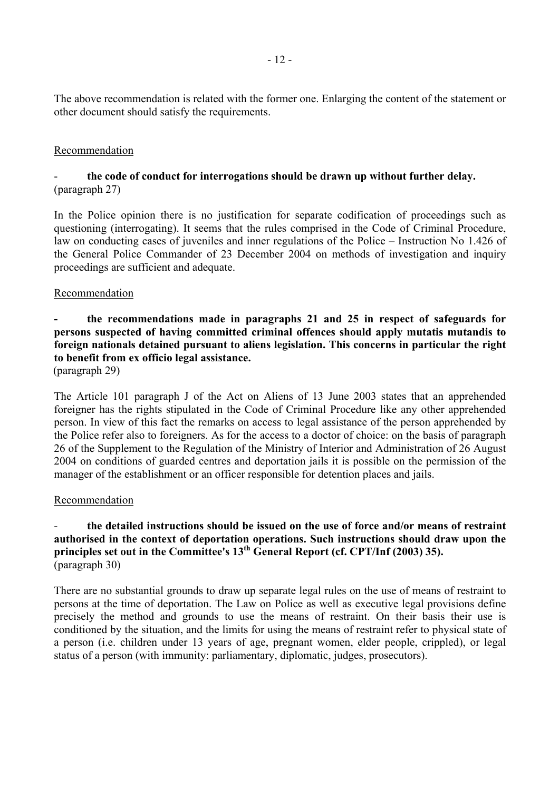The above recommendation is related with the former one. Enlarging the content of the statement or other document should satisfy the requirements.

## Recommendation

# - **the code of conduct for interrogations should be drawn up without further delay.**  (paragraph 27)

In the Police opinion there is no justification for separate codification of proceedings such as questioning (interrogating). It seems that the rules comprised in the Code of Criminal Procedure, law on conducting cases of juveniles and inner regulations of the Police – Instruction No 1.426 of the General Police Commander of 23 December 2004 on methods of investigation and inquiry proceedings are sufficient and adequate.

## Recommendation

# **- the recommendations made in paragraphs 21 and 25 in respect of safeguards for persons suspected of having committed criminal offences should apply mutatis mutandis to foreign nationals detained pursuant to aliens legislation. This concerns in particular the right to benefit from ex officio legal assistance.**

(paragraph 29)

The Article 101 paragraph J of the Act on Aliens of 13 June 2003 states that an apprehended foreigner has the rights stipulated in the Code of Criminal Procedure like any other apprehended person. In view of this fact the remarks on access to legal assistance of the person apprehended by the Police refer also to foreigners. As for the access to a doctor of choice: on the basis of paragraph 26 of the Supplement to the Regulation of the Ministry of Interior and Administration of 26 August 2004 on conditions of guarded centres and deportation jails it is possible on the permission of the manager of the establishment or an officer responsible for detention places and jails.

## Recommendation

# - **the detailed instructions should be issued on the use of force and/or means of restraint authorised in the context of deportation operations. Such instructions should draw upon the principles set out in the Committee's 13th General Report (cf. CPT/Inf (2003) 35).**  (paragraph 30)

There are no substantial grounds to draw up separate legal rules on the use of means of restraint to persons at the time of deportation. The Law on Police as well as executive legal provisions define precisely the method and grounds to use the means of restraint. On their basis their use is conditioned by the situation, and the limits for using the means of restraint refer to physical state of a person (i.e. children under 13 years of age, pregnant women, elder people, crippled), or legal status of a person (with immunity: parliamentary, diplomatic, judges, prosecutors).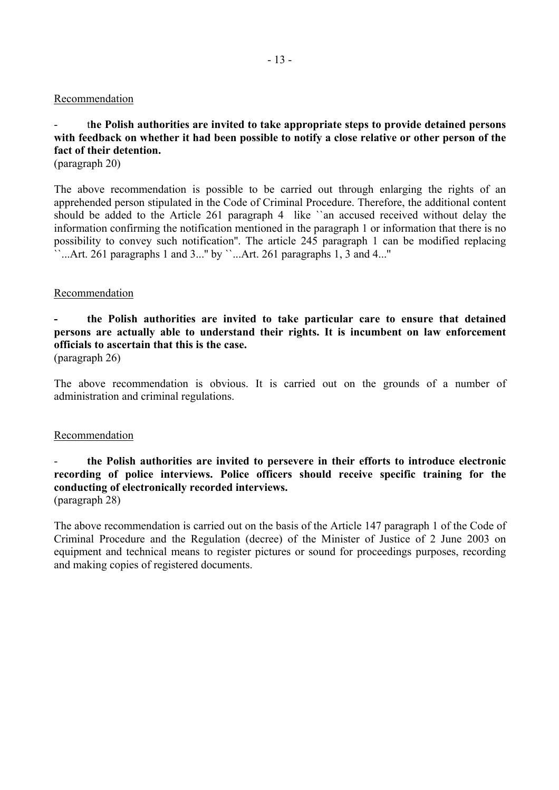#### Recommendation

# - t**he Polish authorities are invited to take appropriate steps to provide detained persons with feedback on whether it had been possible to notify a close relative or other person of the fact of their detention.**

(paragraph 20)

The above recommendation is possible to be carried out through enlarging the rights of an apprehended person stipulated in the Code of Criminal Procedure. Therefore, the additional content should be added to the Article 261 paragraph 4 like ``an accused received without delay the information confirming the notification mentioned in the paragraph 1 or information that there is no possibility to convey such notification''. The article 245 paragraph 1 can be modified replacing  $\cdots$ ...Art. 261 paragraphs 1 and 3..." by  $\cdots$ ...Art. 261 paragraphs 1, 3 and 4..."

#### Recommendation

# **- the Polish authorities are invited to take particular care to ensure that detained persons are actually able to understand their rights. It is incumbent on law enforcement officials to ascertain that this is the case.**

(paragraph 26)

The above recommendation is obvious. It is carried out on the grounds of a number of administration and criminal regulations.

## **Recommendation**

## - **the Polish authorities are invited to persevere in their efforts to introduce electronic recording of police interviews. Police officers should receive specific training for the conducting of electronically recorded interviews.**  (paragraph 28)

The above recommendation is carried out on the basis of the Article 147 paragraph 1 of the Code of Criminal Procedure and the Regulation (decree) of the Minister of Justice of 2 June 2003 on equipment and technical means to register pictures or sound for proceedings purposes, recording and making copies of registered documents.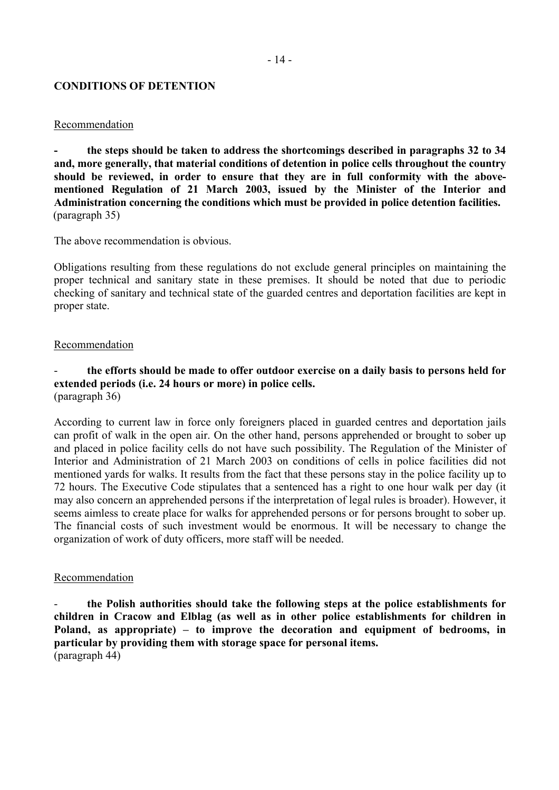### **CONDITIONS OF DETENTION**

#### Recommendation

**- the steps should be taken to address the shortcomings described in paragraphs 32 to 34 and, more generally, that material conditions of detention in police cells throughout the country should be reviewed, in order to ensure that they are in full conformity with the abovementioned Regulation of 21 March 2003, issued by the Minister of the Interior and Administration concerning the conditions which must be provided in police detention facilities.**  (paragraph 35)

The above recommendation is obvious.

Obligations resulting from these regulations do not exclude general principles on maintaining the proper technical and sanitary state in these premises. It should be noted that due to periodic checking of sanitary and technical state of the guarded centres and deportation facilities are kept in proper state.

#### Recommendation

## the efforts should be made to offer outdoor exercise on a daily basis to persons held for **extended periods (i.e. 24 hours or more) in police cells.**  (paragraph 36)

According to current law in force only foreigners placed in guarded centres and deportation jails can profit of walk in the open air. On the other hand, persons apprehended or brought to sober up and placed in police facility cells do not have such possibility. The Regulation of the Minister of Interior and Administration of 21 March 2003 on conditions of cells in police facilities did not mentioned yards for walks. It results from the fact that these persons stay in the police facility up to 72 hours. The Executive Code stipulates that a sentenced has a right to one hour walk per day (it may also concern an apprehended persons if the interpretation of legal rules is broader). However, it seems aimless to create place for walks for apprehended persons or for persons brought to sober up. The financial costs of such investment would be enormous. It will be necessary to change the organization of work of duty officers, more staff will be needed.

#### Recommendation

- **the Polish authorities should take the following steps at the police establishments for children in Cracow and Elblag (as well as in other police establishments for children in**  Poland, as appropriate) – to improve the decoration and equipment of bedrooms, in **particular by providing them with storage space for personal items.**  (paragraph 44)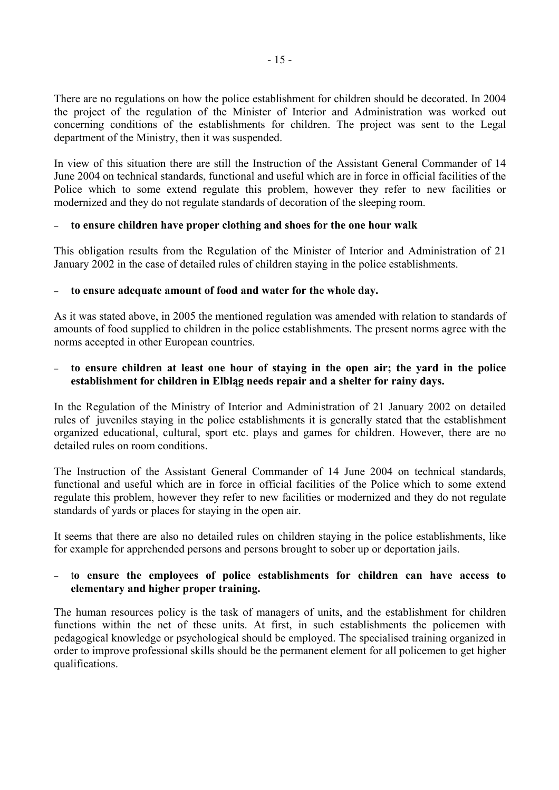There are no regulations on how the police establishment for children should be decorated. In 2004 the project of the regulation of the Minister of Interior and Administration was worked out concerning conditions of the establishments for children. The project was sent to the Legal department of the Ministry, then it was suspended.

In view of this situation there are still the Instruction of the Assistant General Commander of 14 June 2004 on technical standards, functional and useful which are in force in official facilities of the Police which to some extend regulate this problem, however they refer to new facilities or modernized and they do not regulate standards of decoration of the sleeping room.

# – **to ensure children have proper clothing and shoes for the one hour walk**

This obligation results from the Regulation of the Minister of Interior and Administration of 21 January 2002 in the case of detailed rules of children staying in the police establishments.

# – **to ensure adequate amount of food and water for the whole day.**

As it was stated above, in 2005 the mentioned regulation was amended with relation to standards of amounts of food supplied to children in the police establishments. The present norms agree with the norms accepted in other European countries.

# – **to ensure children at least one hour of staying in the open air; the yard in the police establishment for children in Elbląg needs repair and a shelter for rainy days.**

In the Regulation of the Ministry of Interior and Administration of 21 January 2002 on detailed rules of juveniles staying in the police establishments it is generally stated that the establishment organized educational, cultural, sport etc. plays and games for children. However, there are no detailed rules on room conditions.

The Instruction of the Assistant General Commander of 14 June 2004 on technical standards, functional and useful which are in force in official facilities of the Police which to some extend regulate this problem, however they refer to new facilities or modernized and they do not regulate standards of yards or places for staying in the open air.

It seems that there are also no detailed rules on children staying in the police establishments, like for example for apprehended persons and persons brought to sober up or deportation jails.

# – t**o ensure the employees of police establishments for children can have access to elementary and higher proper training.**

The human resources policy is the task of managers of units, and the establishment for children functions within the net of these units. At first, in such establishments the policemen with pedagogical knowledge or psychological should be employed. The specialised training organized in order to improve professional skills should be the permanent element for all policemen to get higher qualifications.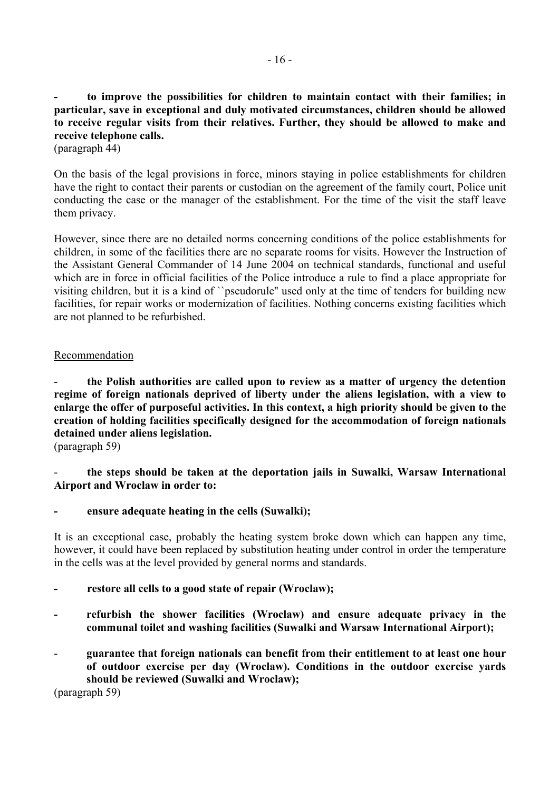**- to improve the possibilities for children to maintain contact with their families; in particular, save in exceptional and duly motivated circumstances, children should be allowed to receive regular visits from their relatives. Further, they should be allowed to make and receive telephone calls.** 

(paragraph 44)

On the basis of the legal provisions in force, minors staying in police establishments for children have the right to contact their parents or custodian on the agreement of the family court, Police unit conducting the case or the manager of the establishment. For the time of the visit the staff leave them privacy.

However, since there are no detailed norms concerning conditions of the police establishments for children, in some of the facilities there are no separate rooms for visits. However the Instruction of the Assistant General Commander of 14 June 2004 on technical standards, functional and useful which are in force in official facilities of the Police introduce a rule to find a place appropriate for visiting children, but it is a kind of ``pseudorule'' used only at the time of tenders for building new facilities, for repair works or modernization of facilities. Nothing concerns existing facilities which are not planned to be refurbished.

## Recommendation

- **the Polish authorities are called upon to review as a matter of urgency the detention regime of foreign nationals deprived of liberty under the aliens legislation, with a view to enlarge the offer of purposeful activities. In this context, a high priority should be given to the creation of holding facilities specifically designed for the accommodation of foreign nationals detained under aliens legislation.** 

(paragraph 59)

- **the steps should be taken at the deportation jails in Suwalki, Warsaw International Airport and Wroclaw in order to:** 

## ensure adequate heating in the cells (Suwalki);

It is an exceptional case, probably the heating system broke down which can happen any time, however, it could have been replaced by substitution heating under control in order the temperature in the cells was at the level provided by general norms and standards.

## **- restore all cells to a good state of repair (Wroclaw);**

- refurbish the shower facilities (Wroclaw) and ensure adequate privacy in the **communal toilet and washing facilities (Suwalki and Warsaw International Airport);**
- **guarantee that foreign nationals can benefit from their entitlement to at least one hour of outdoor exercise per day (Wroclaw). Conditions in the outdoor exercise yards should be reviewed (Suwalki and Wroclaw);**

(paragraph 59)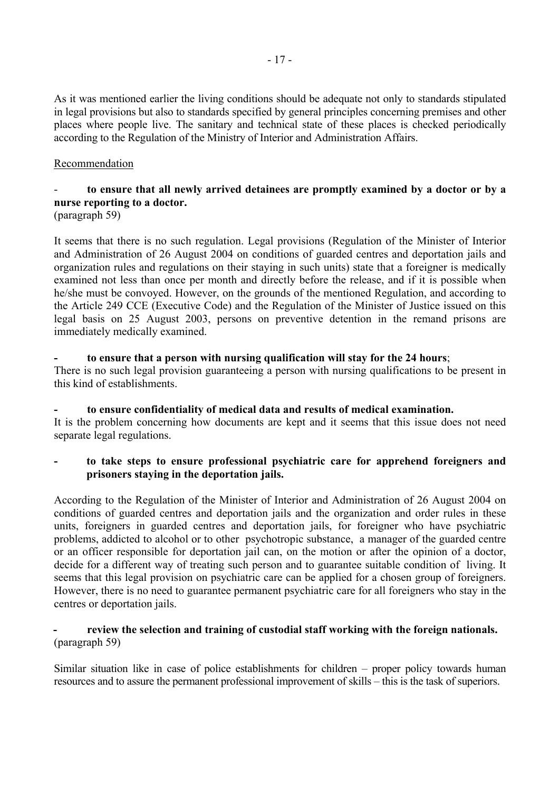As it was mentioned earlier the living conditions should be adequate not only to standards stipulated in legal provisions but also to standards specified by general principles concerning premises and other places where people live. The sanitary and technical state of these places is checked periodically according to the Regulation of the Ministry of Interior and Administration Affairs.

# Recommendation

# to ensure that all newly arrived detainees are promptly examined by a doctor or by a **nurse reporting to a doctor.**

(paragraph 59)

It seems that there is no such regulation. Legal provisions (Regulation of the Minister of Interior and Administration of 26 August 2004 on conditions of guarded centres and deportation jails and organization rules and regulations on their staying in such units) state that a foreigner is medically examined not less than once per month and directly before the release, and if it is possible when he/she must be convoyed. However, on the grounds of the mentioned Regulation, and according to the Article 249 CCE (Executive Code) and the Regulation of the Minister of Justice issued on this legal basis on 25 August 2003, persons on preventive detention in the remand prisons are immediately medically examined.

#### **- to ensure that a person with nursing qualification will stay for the 24 hours**; There is no such legal provision guaranteeing a person with nursing qualifications to be present in this kind of establishments.

## **- to ensure confidentiality of medical data and results of medical examination.**  It is the problem concerning how documents are kept and it seems that this issue does not need separate legal regulations.

# **- to take steps to ensure professional psychiatric care for apprehend foreigners and prisoners staying in the deportation jails.**

According to the Regulation of the Minister of Interior and Administration of 26 August 2004 on conditions of guarded centres and deportation jails and the organization and order rules in these units, foreigners in guarded centres and deportation jails, for foreigner who have psychiatric problems, addicted to alcohol or to other psychotropic substance, a manager of the guarded centre or an officer responsible for deportation jail can, on the motion or after the opinion of a doctor, decide for a different way of treating such person and to guarantee suitable condition of living. It seems that this legal provision on psychiatric care can be applied for a chosen group of foreigners. However, there is no need to guarantee permanent psychiatric care for all foreigners who stay in the centres or deportation jails.

# review the selection and training of custodial staff working with the foreign nationals. (paragraph 59)

Similar situation like in case of police establishments for children  $-$  proper policy towards human resources and to assure the permanent professional improvement of skills – this is the task of superiors.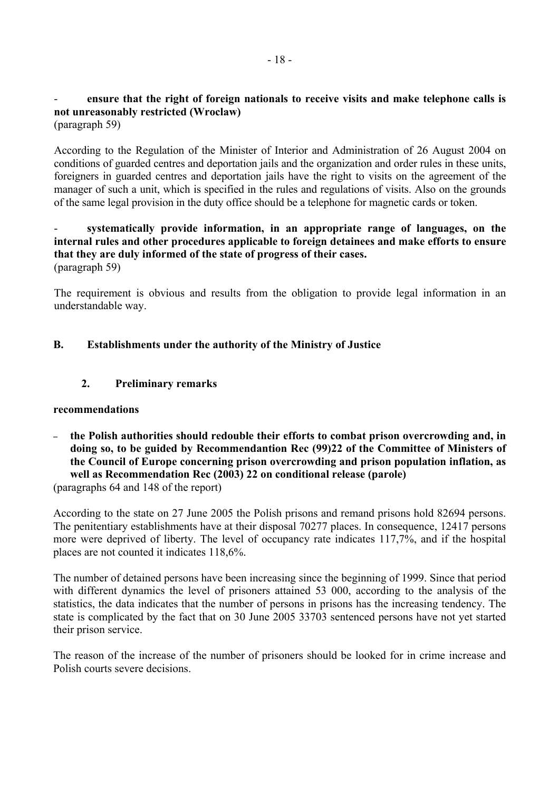# ensure that the right of foreign nationals to receive visits and make telephone calls is **not unreasonably restricted (Wroclaw)**

(paragraph 59)

According to the Regulation of the Minister of Interior and Administration of 26 August 2004 on conditions of guarded centres and deportation jails and the organization and order rules in these units, foreigners in guarded centres and deportation jails have the right to visits on the agreement of the manager of such a unit, which is specified in the rules and regulations of visits. Also on the grounds of the same legal provision in the duty office should be a telephone for magnetic cards or token.

## - **systematically provide information, in an appropriate range of languages, on the internal rules and other procedures applicable to foreign detainees and make efforts to ensure that they are duly informed of the state of progress of their cases.**  (paragraph 59)

The requirement is obvious and results from the obligation to provide legal information in an understandable way.

# **B. Establishments under the authority of the Ministry of Justice**

# **2. Preliminary remarks**

## **recommendations**

– **the Polish authorities should redouble their efforts to combat prison overcrowding and, in doing so, to be guided by Recommendantion Rec (99)22 of the Committee of Ministers of the Council of Europe concerning prison overcrowding and prison population inflation, as well as Recommendation Rec (2003) 22 on conditional release (parole)** 

(paragraphs 64 and 148 of the report)

According to the state on 27 June 2005 the Polish prisons and remand prisons hold 82694 persons. The penitentiary establishments have at their disposal 70277 places. In consequence, 12417 persons more were deprived of liberty. The level of occupancy rate indicates 117,7%, and if the hospital places are not counted it indicates 118,6%.

The number of detained persons have been increasing since the beginning of 1999. Since that period with different dynamics the level of prisoners attained 53 000, according to the analysis of the statistics, the data indicates that the number of persons in prisons has the increasing tendency. The state is complicated by the fact that on 30 June 2005 33703 sentenced persons have not yet started their prison service.

The reason of the increase of the number of prisoners should be looked for in crime increase and Polish courts severe decisions.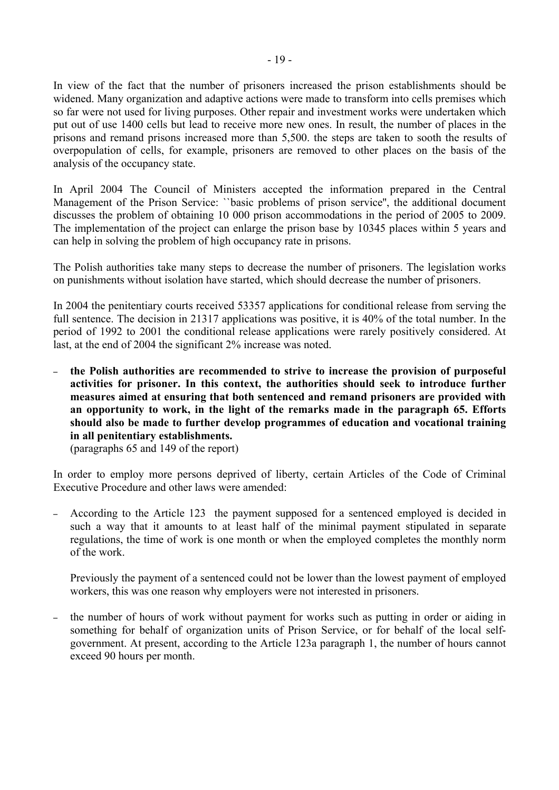In view of the fact that the number of prisoners increased the prison establishments should be widened. Many organization and adaptive actions were made to transform into cells premises which so far were not used for living purposes. Other repair and investment works were undertaken which put out of use 1400 cells but lead to receive more new ones. In result, the number of places in the prisons and remand prisons increased more than 5,500. the steps are taken to sooth the results of overpopulation of cells, for example, prisoners are removed to other places on the basis of the analysis of the occupancy state.

In April 2004 The Council of Ministers accepted the information prepared in the Central Management of the Prison Service: ``basic problems of prison service'', the additional document discusses the problem of obtaining 10 000 prison accommodations in the period of 2005 to 2009. The implementation of the project can enlarge the prison base by 10345 places within 5 years and can help in solving the problem of high occupancy rate in prisons.

The Polish authorities take many steps to decrease the number of prisoners. The legislation works on punishments without isolation have started, which should decrease the number of prisoners.

In 2004 the penitentiary courts received 53357 applications for conditional release from serving the full sentence. The decision in 21317 applications was positive, it is 40% of the total number. In the period of 1992 to 2001 the conditional release applications were rarely positively considered. At last, at the end of 2004 the significant 2% increase was noted.

– **the Polish authorities are recommended to strive to increase the provision of purposeful activities for prisoner. In this context, the authorities should seek to introduce further measures aimed at ensuring that both sentenced and remand prisoners are provided with an opportunity to work, in the light of the remarks made in the paragraph 65. Efforts should also be made to further develop programmes of education and vocational training in all penitentiary establishments.** 

(paragraphs 65 and 149 of the report)

In order to employ more persons deprived of liberty, certain Articles of the Code of Criminal Executive Procedure and other laws were amended:

– According to the Article 123 the payment supposed for a sentenced employed is decided in such a way that it amounts to at least half of the minimal payment stipulated in separate regulations, the time of work is one month or when the employed completes the monthly norm of the work.

Previously the payment of a sentenced could not be lower than the lowest payment of employed workers, this was one reason why employers were not interested in prisoners.

– the number of hours of work without payment for works such as putting in order or aiding in something for behalf of organization units of Prison Service, or for behalf of the local selfgovernment. At present, according to the Article 123a paragraph 1, the number of hours cannot exceed 90 hours per month.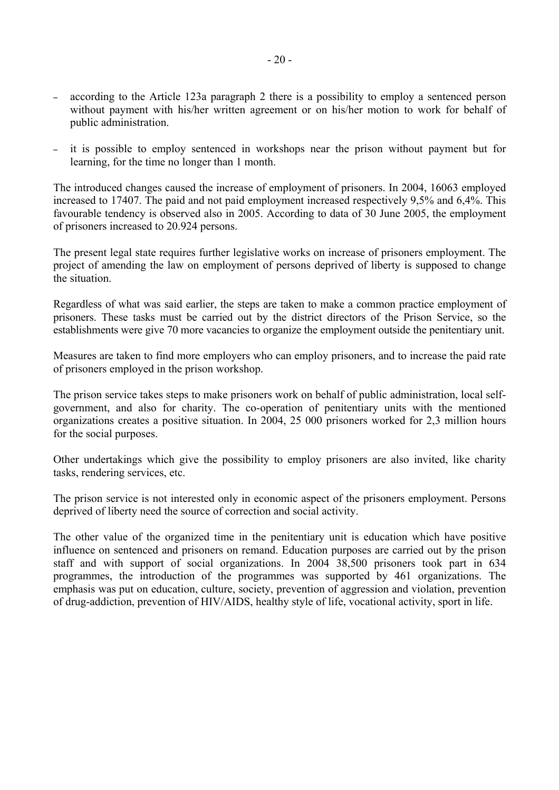- according to the Article 123a paragraph 2 there is a possibility to employ a sentenced person without payment with his/her written agreement or on his/her motion to work for behalf of public administration.
- it is possible to employ sentenced in workshops near the prison without payment but for learning, for the time no longer than 1 month.

The introduced changes caused the increase of employment of prisoners. In 2004, 16063 employed increased to 17407. The paid and not paid employment increased respectively 9,5% and 6,4%. This favourable tendency is observed also in 2005. According to data of 30 June 2005, the employment of prisoners increased to 20.924 persons.

The present legal state requires further legislative works on increase of prisoners employment. The project of amending the law on employment of persons deprived of liberty is supposed to change the situation.

Regardless of what was said earlier, the steps are taken to make a common practice employment of prisoners. These tasks must be carried out by the district directors of the Prison Service, so the establishments were give 70 more vacancies to organize the employment outside the penitentiary unit.

Measures are taken to find more employers who can employ prisoners, and to increase the paid rate of prisoners employed in the prison workshop.

The prison service takes steps to make prisoners work on behalf of public administration, local selfgovernment, and also for charity. The co-operation of penitentiary units with the mentioned organizations creates a positive situation. In 2004, 25 000 prisoners worked for 2,3 million hours for the social purposes.

Other undertakings which give the possibility to employ prisoners are also invited, like charity tasks, rendering services, etc.

The prison service is not interested only in economic aspect of the prisoners employment. Persons deprived of liberty need the source of correction and social activity.

The other value of the organized time in the penitentiary unit is education which have positive influence on sentenced and prisoners on remand. Education purposes are carried out by the prison staff and with support of social organizations. In 2004 38,500 prisoners took part in 634 programmes, the introduction of the programmes was supported by 461 organizations. The emphasis was put on education, culture, society, prevention of aggression and violation, prevention of drug-addiction, prevention of HIV/AIDS, healthy style of life, vocational activity, sport in life.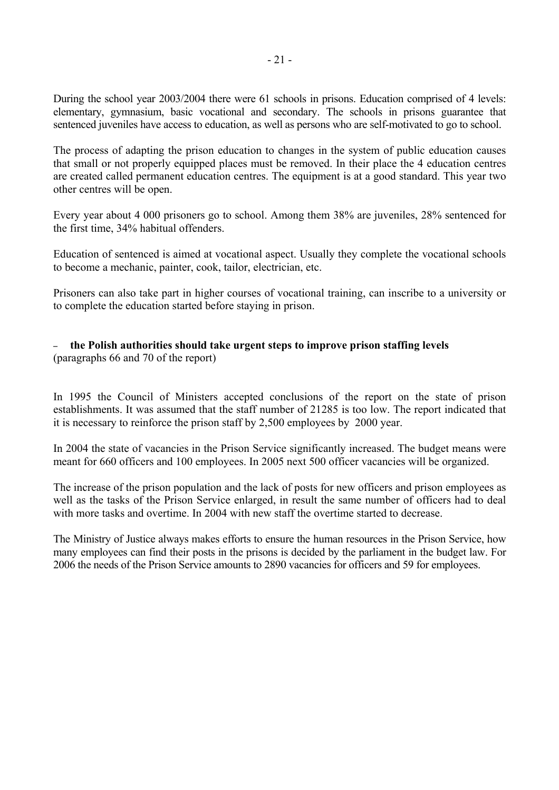During the school year 2003/2004 there were 61 schools in prisons. Education comprised of 4 levels: elementary, gymnasium, basic vocational and secondary. The schools in prisons guarantee that sentenced juveniles have access to education, as well as persons who are self-motivated to go to school.

The process of adapting the prison education to changes in the system of public education causes that small or not properly equipped places must be removed. In their place the 4 education centres are created called permanent education centres. The equipment is at a good standard. This year two other centres will be open.

Every year about 4 000 prisoners go to school. Among them 38% are juveniles, 28% sentenced for the first time, 34% habitual offenders.

Education of sentenced is aimed at vocational aspect. Usually they complete the vocational schools to become a mechanic, painter, cook, tailor, electrician, etc.

Prisoners can also take part in higher courses of vocational training, can inscribe to a university or to complete the education started before staying in prison.

#### – **the Polish authorities should take urgent steps to improve prison staffing levels**  (paragraphs 66 and 70 of the report)

In 1995 the Council of Ministers accepted conclusions of the report on the state of prison establishments. It was assumed that the staff number of 21285 is too low. The report indicated that it is necessary to reinforce the prison staff by 2,500 employees by 2000 year.

In 2004 the state of vacancies in the Prison Service significantly increased. The budget means were meant for 660 officers and 100 employees. In 2005 next 500 officer vacancies will be organized.

The increase of the prison population and the lack of posts for new officers and prison employees as well as the tasks of the Prison Service enlarged, in result the same number of officers had to deal with more tasks and overtime. In 2004 with new staff the overtime started to decrease.

The Ministry of Justice always makes efforts to ensure the human resources in the Prison Service, how many employees can find their posts in the prisons is decided by the parliament in the budget law. For 2006 the needs of the Prison Service amounts to 2890 vacancies for officers and 59 for employees.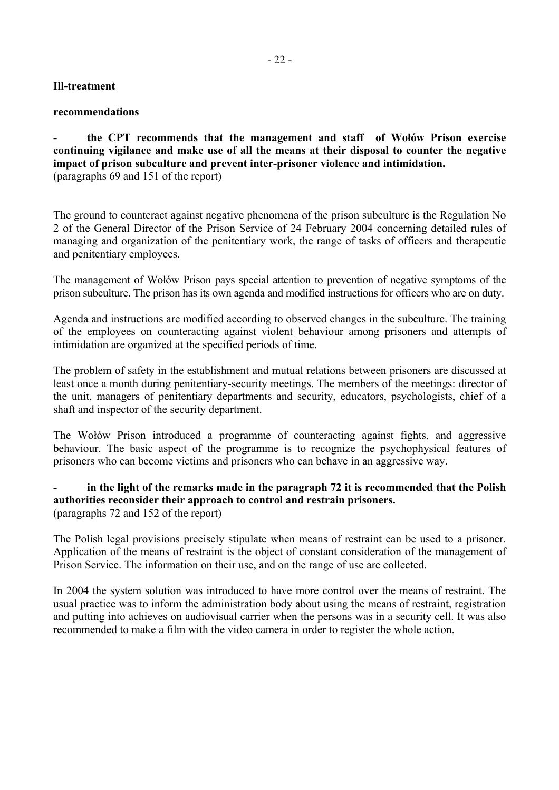# **Ill-treatment**

#### **recommendations**

the CPT recommends that the management and staff of Wołów Prison exercise **continuing vigilance and make use of all the means at their disposal to counter the negative impact of prison subculture and prevent inter-prisoner violence and intimidation.**  (paragraphs 69 and 151 of the report)

The ground to counteract against negative phenomena of the prison subculture is the Regulation No 2 of the General Director of the Prison Service of 24 February 2004 concerning detailed rules of managing and organization of the penitentiary work, the range of tasks of officers and therapeutic and penitentiary employees.

The management of Wołów Prison pays special attention to prevention of negative symptoms of the prison subculture. The prison has its own agenda and modified instructions for officers who are on duty.

Agenda and instructions are modified according to observed changes in the subculture. The training of the employees on counteracting against violent behaviour among prisoners and attempts of intimidation are organized at the specified periods of time.

The problem of safety in the establishment and mutual relations between prisoners are discussed at least once a month during penitentiary-security meetings. The members of the meetings: director of the unit, managers of penitentiary departments and security, educators, psychologists, chief of a shaft and inspector of the security department.

The Wołów Prison introduced a programme of counteracting against fights, and aggressive behaviour. The basic aspect of the programme is to recognize the psychophysical features of prisoners who can become victims and prisoners who can behave in an aggressive way.

## **- in the light of the remarks made in the paragraph 72 it is recommended that the Polish authorities reconsider their approach to control and restrain prisoners.**  (paragraphs 72 and 152 of the report)

The Polish legal provisions precisely stipulate when means of restraint can be used to a prisoner. Application of the means of restraint is the object of constant consideration of the management of Prison Service. The information on their use, and on the range of use are collected.

In 2004 the system solution was introduced to have more control over the means of restraint. The usual practice was to inform the administration body about using the means of restraint, registration and putting into achieves on audiovisual carrier when the persons was in a security cell. It was also recommended to make a film with the video camera in order to register the whole action.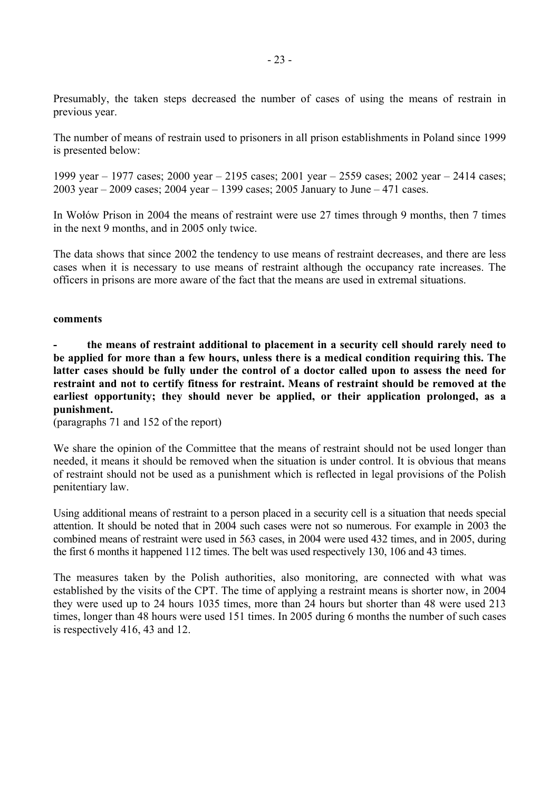Presumably, the taken steps decreased the number of cases of using the means of restrain in previous year.

The number of means of restrain used to prisoners in all prison establishments in Poland since 1999 is presented below:

1999 year  $-1977$  cases; 2000 year  $-2195$  cases; 2001 year  $-2559$  cases; 2002 year  $-2414$  cases; 2003 year  $-2009$  cases; 2004 year  $-1399$  cases; 2005 January to June  $-471$  cases.

In Wołów Prison in 2004 the means of restraint were use 27 times through 9 months, then 7 times in the next 9 months, and in 2005 only twice.

The data shows that since 2002 the tendency to use means of restraint decreases, and there are less cases when it is necessary to use means of restraint although the occupancy rate increases. The officers in prisons are more aware of the fact that the means are used in extremal situations.

#### **comments**

**- the means of restraint additional to placement in a security cell should rarely need to be applied for more than a few hours, unless there is a medical condition requiring this. The latter cases should be fully under the control of a doctor called upon to assess the need for restraint and not to certify fitness for restraint. Means of restraint should be removed at the earliest opportunity; they should never be applied, or their application prolonged, as a punishment.** 

(paragraphs 71 and 152 of the report)

We share the opinion of the Committee that the means of restraint should not be used longer than needed, it means it should be removed when the situation is under control. It is obvious that means of restraint should not be used as a punishment which is reflected in legal provisions of the Polish penitentiary law.

Using additional means of restraint to a person placed in a security cell is a situation that needs special attention. It should be noted that in 2004 such cases were not so numerous. For example in 2003 the combined means of restraint were used in 563 cases, in 2004 were used 432 times, and in 2005, during the first 6 months it happened 112 times. The belt was used respectively 130, 106 and 43 times.

The measures taken by the Polish authorities, also monitoring, are connected with what was established by the visits of the CPT. The time of applying a restraint means is shorter now, in 2004 they were used up to 24 hours 1035 times, more than 24 hours but shorter than 48 were used 213 times, longer than 48 hours were used 151 times. In 2005 during 6 months the number of such cases is respectively 416, 43 and 12.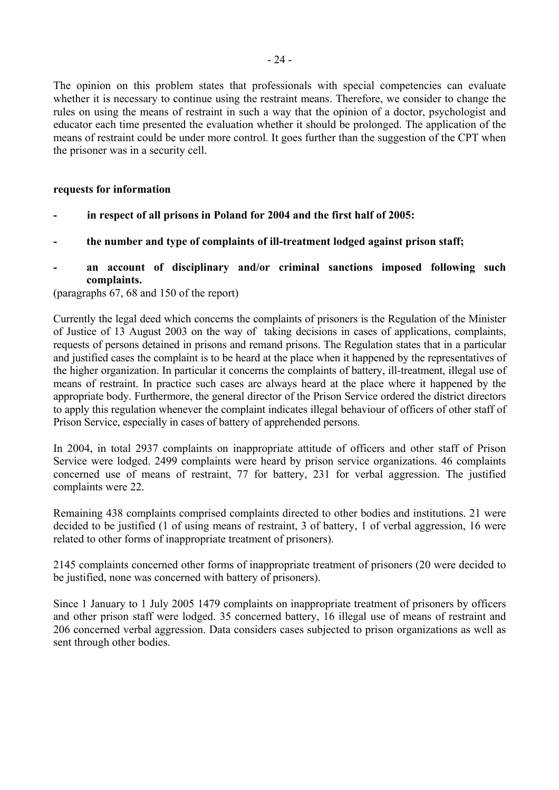The opinion on this problem states that professionals with special competencies can evaluate whether it is necessary to continue using the restraint means. Therefore, we consider to change the rules on using the means of restraint in such a way that the opinion of a doctor, psychologist and educator each time presented the evaluation whether it should be prolonged. The application of the means of restraint could be under more control. It goes further than the suggestion of the CPT when the prisoner was in a security cell.

### **requests for information**

- **in respect of all prisons in Poland for 2004 and the first half of 2005:**
- **the number and type of complaints of ill-treatment lodged against prison staff;**

# **- an account of disciplinary and/or criminal sanctions imposed following such complaints.**

(paragraphs 67, 68 and 150 of the report)

Currently the legal deed which concerns the complaints of prisoners is the Regulation of the Minister of Justice of 13 August 2003 on the way of taking decisions in cases of applications, complaints, requests of persons detained in prisons and remand prisons. The Regulation states that in a particular and justified cases the complaint is to be heard at the place when it happened by the representatives of the higher organization. In particular it concerns the complaints of battery, ill-treatment, illegal use of means of restraint. In practice such cases are always heard at the place where it happened by the appropriate body. Furthermore, the general director of the Prison Service ordered the district directors to apply this regulation whenever the complaint indicates illegal behaviour of officers of other staff of Prison Service, especially in cases of battery of apprehended persons.

In 2004, in total 2937 complaints on inappropriate attitude of officers and other staff of Prison Service were lodged. 2499 complaints were heard by prison service organizations. 46 complaints concerned use of means of restraint, 77 for battery, 231 for verbal aggression. The justified complaints were 22.

Remaining 438 complaints comprised complaints directed to other bodies and institutions. 21 were decided to be justified (1 of using means of restraint, 3 of battery, 1 of verbal aggression, 16 were related to other forms of inappropriate treatment of prisoners).

2145 complaints concerned other forms of inappropriate treatment of prisoners (20 were decided to be justified, none was concerned with battery of prisoners).

Since 1 January to 1 July 2005 1479 complaints on inappropriate treatment of prisoners by officers and other prison staff were lodged. 35 concerned battery, 16 illegal use of means of restraint and 206 concerned verbal aggression. Data considers cases subjected to prison organizations as well as sent through other bodies.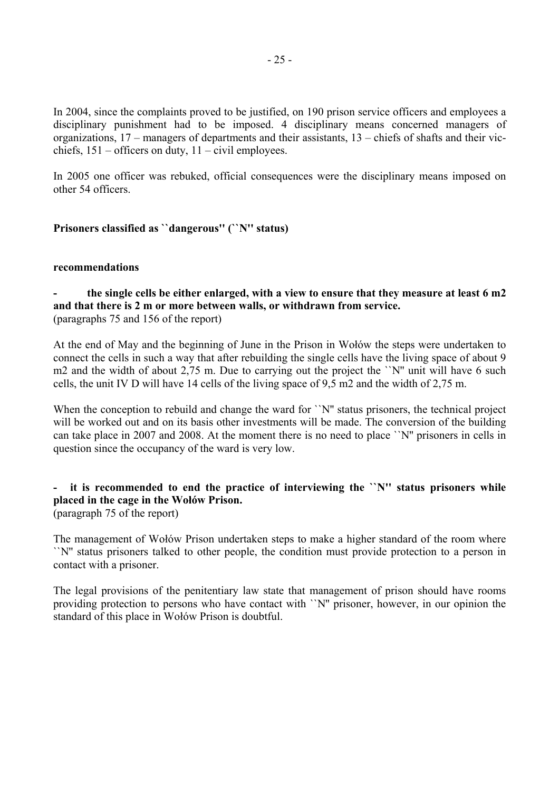In 2004, since the complaints proved to be justified, on 190 prison service officers and employees a disciplinary punishment had to be imposed. 4 disciplinary means concerned managers of organizations,  $17$  – managers of departments and their assistants,  $13$  – chiefs of shafts and their vicchiefs,  $151$  – officers on duty,  $11$  – civil employees.

In 2005 one officer was rebuked, official consequences were the disciplinary means imposed on other 54 officers.

# **Prisoners classified as ``dangerous'' (``N'' status)**

#### **recommendations**

**- the single cells be either enlarged, with a view to ensure that they measure at least 6 m2 and that there is 2 m or more between walls, or withdrawn from service.**  (paragraphs 75 and 156 of the report)

At the end of May and the beginning of June in the Prison in Wołów the steps were undertaken to connect the cells in such a way that after rebuilding the single cells have the living space of about 9 m2 and the width of about 2,75 m. Due to carrying out the project the ``N" unit will have 6 such cells, the unit IV D will have 14 cells of the living space of 9,5 m2 and the width of 2,75 m.

When the conception to rebuild and change the ward for ``N" status prisoners, the technical project will be worked out and on its basis other investments will be made. The conversion of the building can take place in 2007 and 2008. At the moment there is no need to place ``N'' prisoners in cells in question since the occupancy of the ward is very low.

#### **- it is recommended to end the practice of interviewing the ``N'' status prisoners while placed in the cage in the Wołów Prison.** (paragraph 75 of the report)

The management of Wołów Prison undertaken steps to make a higher standard of the room where ``N'' status prisoners talked to other people, the condition must provide protection to a person in contact with a prisoner.

The legal provisions of the penitentiary law state that management of prison should have rooms providing protection to persons who have contact with ``N'' prisoner, however, in our opinion the standard of this place in Wołów Prison is doubtful.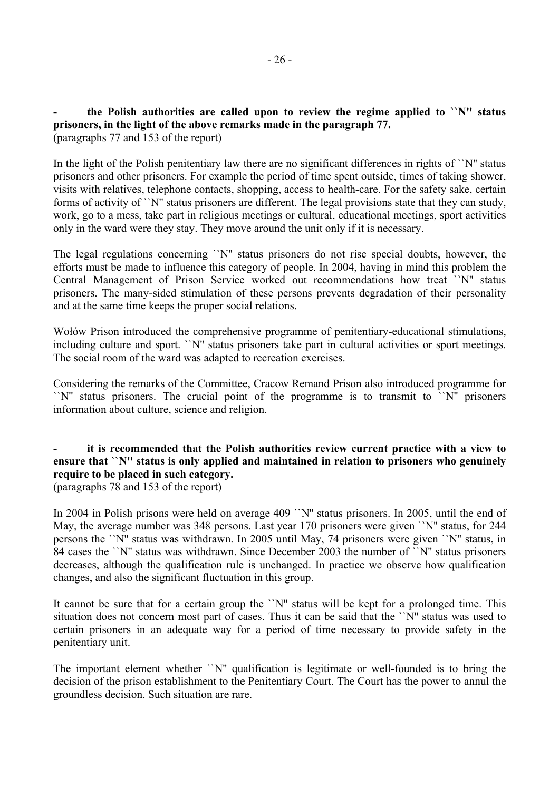**- the Polish authorities are called upon to review the regime applied to ``N'' status prisoners, in the light of the above remarks made in the paragraph 77.**  (paragraphs 77 and 153 of the report)

In the light of the Polish penitentiary law there are no significant differences in rights of ``N'' status prisoners and other prisoners. For example the period of time spent outside, times of taking shower, visits with relatives, telephone contacts, shopping, access to health-care. For the safety sake, certain forms of activity of ``N" status prisoners are different. The legal provisions state that they can study, work, go to a mess, take part in religious meetings or cultural, educational meetings, sport activities only in the ward were they stay. They move around the unit only if it is necessary.

The legal regulations concerning ``N'' status prisoners do not rise special doubts, however, the efforts must be made to influence this category of people. In 2004, having in mind this problem the Central Management of Prison Service worked out recommendations how treat ``N'' status prisoners. The many-sided stimulation of these persons prevents degradation of their personality and at the same time keeps the proper social relations.

Wołów Prison introduced the comprehensive programme of penitentiary-educational stimulations, including culture and sport. ``N'' status prisoners take part in cultural activities or sport meetings. The social room of the ward was adapted to recreation exercises.

Considering the remarks of the Committee, Cracow Remand Prison also introduced programme for ``N'' status prisoners. The crucial point of the programme is to transmit to ``N'' prisoners information about culture, science and religion.

# **- it is recommended that the Polish authorities review current practice with a view to ensure that ``N'' status is only applied and maintained in relation to prisoners who genuinely require to be placed in such category.**

(paragraphs 78 and 153 of the report)

In 2004 in Polish prisons were held on average 409 ``N'' status prisoners. In 2005, until the end of May, the average number was 348 persons. Last year 170 prisoners were given ``N'' status, for 244 persons the ``N'' status was withdrawn. In 2005 until May, 74 prisoners were given ``N'' status, in 84 cases the ``N'' status was withdrawn. Since December 2003 the number of ``N'' status prisoners decreases, although the qualification rule is unchanged. In practice we observe how qualification changes, and also the significant fluctuation in this group.

It cannot be sure that for a certain group the ``N" status will be kept for a prolonged time. This situation does not concern most part of cases. Thus it can be said that the ``N'' status was used to certain prisoners in an adequate way for a period of time necessary to provide safety in the penitentiary unit.

The important element whether ``N'' qualification is legitimate or well-founded is to bring the decision of the prison establishment to the Penitentiary Court. The Court has the power to annul the groundless decision. Such situation are rare.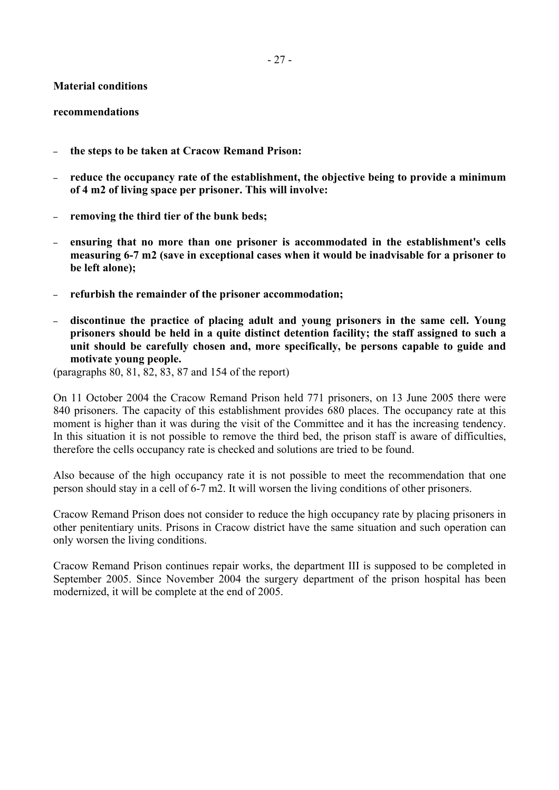## **Material conditions**

#### **recommendations**

- **the steps to be taken at Cracow Remand Prison:**
- **reduce the occupancy rate of the establishment, the objective being to provide a minimum of 4 m2 of living space per prisoner. This will involve:**
- **removing the third tier of the bunk beds;**
- **ensuring that no more than one prisoner is accommodated in the establishment's cells measuring 6-7 m2 (save in exceptional cases when it would be inadvisable for a prisoner to be left alone);**
- **refurbish the remainder of the prisoner accommodation;**
- **discontinue the practice of placing adult and young prisoners in the same cell. Young prisoners should be held in a quite distinct detention facility; the staff assigned to such a unit should be carefully chosen and, more specifically, be persons capable to guide and motivate young people.**

(paragraphs 80, 81, 82, 83, 87 and 154 of the report)

On 11 October 2004 the Cracow Remand Prison held 771 prisoners, on 13 June 2005 there were 840 prisoners. The capacity of this establishment provides 680 places. The occupancy rate at this moment is higher than it was during the visit of the Committee and it has the increasing tendency. In this situation it is not possible to remove the third bed, the prison staff is aware of difficulties, therefore the cells occupancy rate is checked and solutions are tried to be found.

Also because of the high occupancy rate it is not possible to meet the recommendation that one person should stay in a cell of 6-7 m2. It will worsen the living conditions of other prisoners.

Cracow Remand Prison does not consider to reduce the high occupancy rate by placing prisoners in other penitentiary units. Prisons in Cracow district have the same situation and such operation can only worsen the living conditions.

Cracow Remand Prison continues repair works, the department III is supposed to be completed in September 2005. Since November 2004 the surgery department of the prison hospital has been modernized, it will be complete at the end of 2005.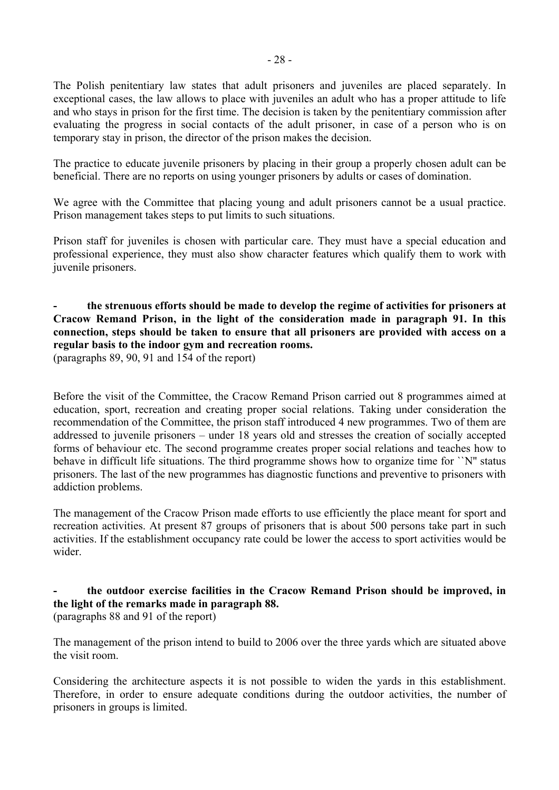The Polish penitentiary law states that adult prisoners and juveniles are placed separately. In exceptional cases, the law allows to place with juveniles an adult who has a proper attitude to life and who stays in prison for the first time. The decision is taken by the penitentiary commission after evaluating the progress in social contacts of the adult prisoner, in case of a person who is on temporary stay in prison, the director of the prison makes the decision.

The practice to educate juvenile prisoners by placing in their group a properly chosen adult can be beneficial. There are no reports on using younger prisoners by adults or cases of domination.

We agree with the Committee that placing young and adult prisoners cannot be a usual practice. Prison management takes steps to put limits to such situations.

Prison staff for juveniles is chosen with particular care. They must have a special education and professional experience, they must also show character features which qualify them to work with juvenile prisoners.

## **- the strenuous efforts should be made to develop the regime of activities for prisoners at Cracow Remand Prison, in the light of the consideration made in paragraph 91. In this connection, steps should be taken to ensure that all prisoners are provided with access on a regular basis to the indoor gym and recreation rooms.**  (paragraphs 89, 90, 91 and 154 of the report)

Before the visit of the Committee, the Cracow Remand Prison carried out 8 programmes aimed at education, sport, recreation and creating proper social relations. Taking under consideration the recommendation of the Committee, the prison staff introduced 4 new programmes. Two of them are addressed to juvenile prisoners – under 18 years old and stresses the creation of socially accepted forms of behaviour etc. The second programme creates proper social relations and teaches how to behave in difficult life situations. The third programme shows how to organize time for ``N'' status prisoners. The last of the new programmes has diagnostic functions and preventive to prisoners with addiction problems.

The management of the Cracow Prison made efforts to use efficiently the place meant for sport and recreation activities. At present 87 groups of prisoners that is about 500 persons take part in such activities. If the establishment occupancy rate could be lower the access to sport activities would be wider.

# **- the outdoor exercise facilities in the Cracow Remand Prison should be improved, in the light of the remarks made in paragraph 88.**  (paragraphs 88 and 91 of the report)

The management of the prison intend to build to 2006 over the three yards which are situated above the visit room.

Considering the architecture aspects it is not possible to widen the yards in this establishment. Therefore, in order to ensure adequate conditions during the outdoor activities, the number of prisoners in groups is limited.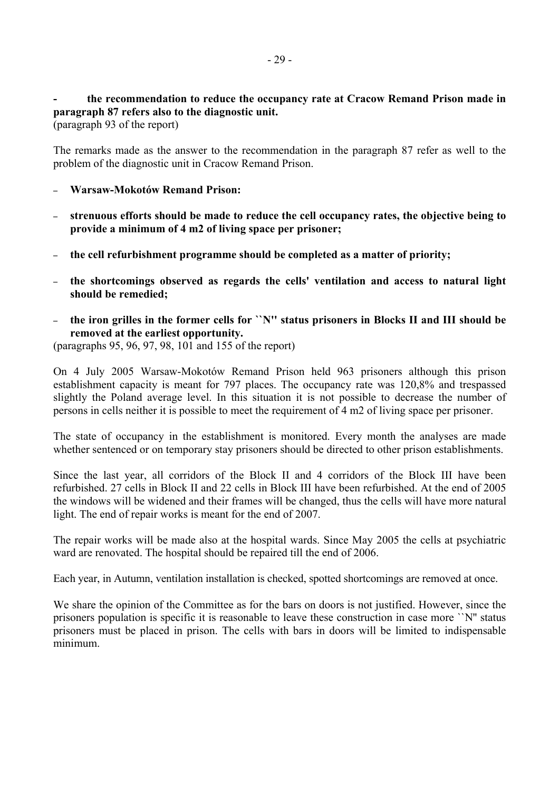**- the recommendation to reduce the occupancy rate at Cracow Remand Prison made in paragraph 87 refers also to the diagnostic unit.** 

(paragraph 93 of the report)

The remarks made as the answer to the recommendation in the paragraph 87 refer as well to the problem of the diagnostic unit in Cracow Remand Prison.

- **Warsaw-Mokotów Remand Prison:**
- **strenuous efforts should be made to reduce the cell occupancy rates, the objective being to provide a minimum of 4 m2 of living space per prisoner;**
- **the cell refurbishment programme should be completed as a matter of priority;**
- **the shortcomings observed as regards the cells' ventilation and access to natural light should be remedied;**
- **the iron grilles in the former cells for ``N'' status prisoners in Blocks II and III should be removed at the earliest opportunity.**

(paragraphs 95, 96, 97, 98, 101 and 155 of the report)

On 4 July 2005 Warsaw-Mokotów Remand Prison held 963 prisoners although this prison establishment capacity is meant for 797 places. The occupancy rate was 120,8% and trespassed slightly the Poland average level. In this situation it is not possible to decrease the number of persons in cells neither it is possible to meet the requirement of 4 m2 of living space per prisoner.

The state of occupancy in the establishment is monitored. Every month the analyses are made whether sentenced or on temporary stay prisoners should be directed to other prison establishments.

Since the last year, all corridors of the Block II and 4 corridors of the Block III have been refurbished. 27 cells in Block II and 22 cells in Block III have been refurbished. At the end of 2005 the windows will be widened and their frames will be changed, thus the cells will have more natural light. The end of repair works is meant for the end of 2007.

The repair works will be made also at the hospital wards. Since May 2005 the cells at psychiatric ward are renovated. The hospital should be repaired till the end of 2006.

Each year, in Autumn, ventilation installation is checked, spotted shortcomings are removed at once.

We share the opinion of the Committee as for the bars on doors is not justified. However, since the prisoners population is specific it is reasonable to leave these construction in case more ``N'' status prisoners must be placed in prison. The cells with bars in doors will be limited to indispensable minimum.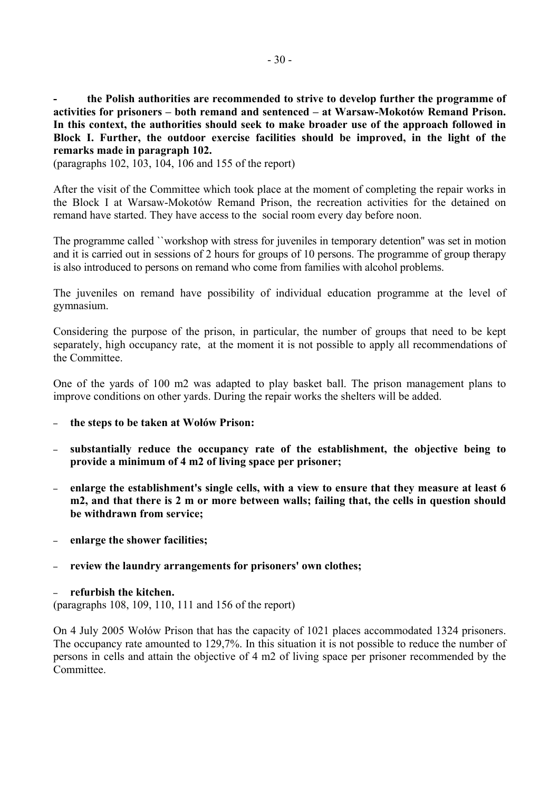**- the Polish authorities are recommended to strive to develop further the programme of**  activities for prisoners – both remand and sentenced – at Warsaw-Mokotów Remand Prison. **In this context, the authorities should seek to make broader use of the approach followed in Block I. Further, the outdoor exercise facilities should be improved, in the light of the remarks made in paragraph 102.** 

(paragraphs 102, 103, 104, 106 and 155 of the report)

After the visit of the Committee which took place at the moment of completing the repair works in the Block I at Warsaw-Mokotów Remand Prison, the recreation activities for the detained on remand have started. They have access to the social room every day before noon.

The programme called ``workshop with stress for juveniles in temporary detention'' was set in motion and it is carried out in sessions of 2 hours for groups of 10 persons. The programme of group therapy is also introduced to persons on remand who come from families with alcohol problems.

The juveniles on remand have possibility of individual education programme at the level of gymnasium.

Considering the purpose of the prison, in particular, the number of groups that need to be kept separately, high occupancy rate, at the moment it is not possible to apply all recommendations of the Committee.

One of the yards of 100 m2 was adapted to play basket ball. The prison management plans to improve conditions on other yards. During the repair works the shelters will be added.

- **the steps to be taken at WołÛw Prison:**
- **substantially reduce the occupancy rate of the establishment, the objective being to provide a minimum of 4 m2 of living space per prisoner;**
- **enlarge the establishment's single cells, with a view to ensure that they measure at least 6 m2, and that there is 2 m or more between walls; failing that, the cells in question should be withdrawn from service;**
- **enlarge the shower facilities;**
- **review the laundry arrangements for prisoners' own clothes;**

– **refurbish the kitchen.**  (paragraphs 108, 109, 110, 111 and 156 of the report)

On 4 July 2005 Wołów Prison that has the capacity of 1021 places accommodated 1324 prisoners. The occupancy rate amounted to 129,7%. In this situation it is not possible to reduce the number of persons in cells and attain the objective of 4 m2 of living space per prisoner recommended by the **Committee**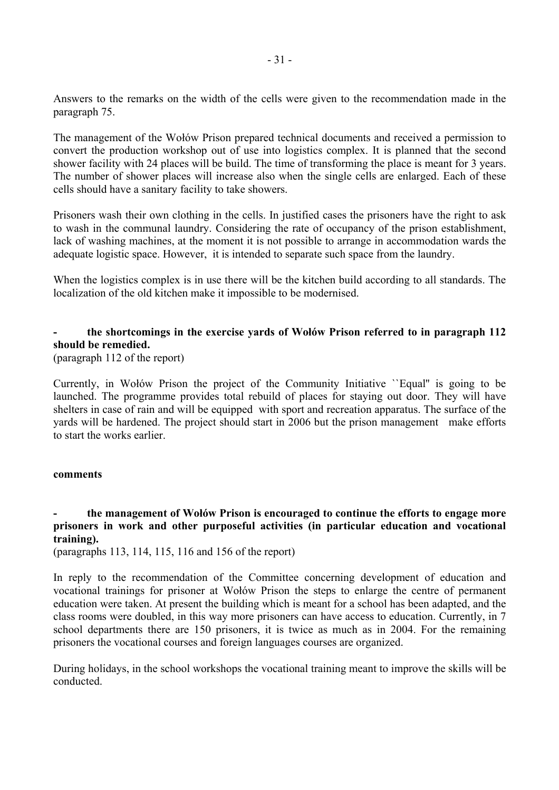Answers to the remarks on the width of the cells were given to the recommendation made in the paragraph 75.

The management of the Wołów Prison prepared technical documents and received a permission to convert the production workshop out of use into logistics complex. It is planned that the second shower facility with 24 places will be build. The time of transforming the place is meant for 3 years. The number of shower places will increase also when the single cells are enlarged. Each of these cells should have a sanitary facility to take showers.

Prisoners wash their own clothing in the cells. In justified cases the prisoners have the right to ask to wash in the communal laundry. Considering the rate of occupancy of the prison establishment, lack of washing machines, at the moment it is not possible to arrange in accommodation wards the adequate logistic space. However, it is intended to separate such space from the laundry.

When the logistics complex is in use there will be the kitchen build according to all standards. The localization of the old kitchen make it impossible to be modernised.

# **- the shortcomings in the exercise yards of WołÛw Prison referred to in paragraph 112 should be remedied.**

(paragraph 112 of the report)

Currently, in Wołów Prison the project of the Community Initiative "Equal" is going to be launched. The programme provides total rebuild of places for staying out door. They will have shelters in case of rain and will be equipped with sport and recreation apparatus. The surface of the yards will be hardened. The project should start in 2006 but the prison management make efforts to start the works earlier.

## **comments**

# **- the management of WołÛw Prison is encouraged to continue the efforts to engage more prisoners in work and other purposeful activities (in particular education and vocational training).**

(paragraphs 113, 114, 115, 116 and 156 of the report)

In reply to the recommendation of the Committee concerning development of education and vocational trainings for prisoner at Wołów Prison the steps to enlarge the centre of permanent education were taken. At present the building which is meant for a school has been adapted, and the class rooms were doubled, in this way more prisoners can have access to education. Currently, in 7 school departments there are 150 prisoners, it is twice as much as in 2004. For the remaining prisoners the vocational courses and foreign languages courses are organized.

During holidays, in the school workshops the vocational training meant to improve the skills will be conducted.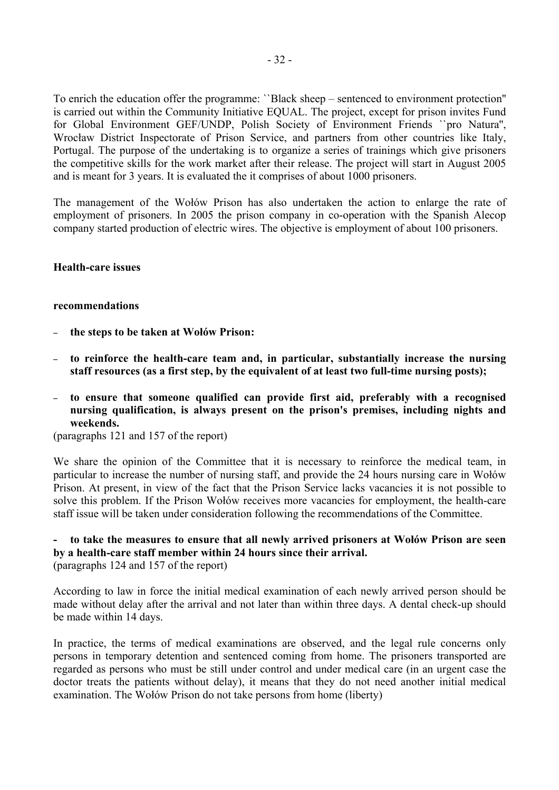To enrich the education offer the programme: "Black sheep – sentenced to environment protection" is carried out within the Community Initiative EQUAL. The project, except for prison invites Fund for Global Environment GEF/UNDP, Polish Society of Environment Friends ``pro Natura'', Wrocław District Inspectorate of Prison Service, and partners from other countries like Italy, Portugal. The purpose of the undertaking is to organize a series of trainings which give prisoners the competitive skills for the work market after their release. The project will start in August 2005 and is meant for 3 years. It is evaluated the it comprises of about 1000 prisoners.

The management of the Wołów Prison has also undertaken the action to enlarge the rate of employment of prisoners. In 2005 the prison company in co-operation with the Spanish Alecop company started production of electric wires. The objective is employment of about 100 prisoners.

#### **Health-care issues**

#### **recommendations**

- **the steps to be taken at WołÛw Prison:**
- **to reinforce the health-care team and, in particular, substantially increase the nursing staff resources (as a first step, by the equivalent of at least two full-time nursing posts);**
- **to ensure that someone qualified can provide first aid, preferably with a recognised nursing qualification, is always present on the prison's premises, including nights and weekends.**

(paragraphs 121 and 157 of the report)

We share the opinion of the Committee that it is necessary to reinforce the medical team, in particular to increase the number of nursing staff, and provide the 24 hours nursing care in Wołów Prison. At present, in view of the fact that the Prison Service lacks vacancies it is not possible to solve this problem. If the Prison Wołów receives more vacancies for employment, the health-care staff issue will be taken under consideration following the recommendations of the Committee.

## **- to take the measures to ensure that all newly arrived prisoners at WołÛw Prison are seen by a health-care staff member within 24 hours since their arrival.**  (paragraphs 124 and 157 of the report)

According to law in force the initial medical examination of each newly arrived person should be made without delay after the arrival and not later than within three days. A dental check-up should be made within 14 days.

In practice, the terms of medical examinations are observed, and the legal rule concerns only persons in temporary detention and sentenced coming from home. The prisoners transported are regarded as persons who must be still under control and under medical care (in an urgent case the doctor treats the patients without delay), it means that they do not need another initial medical examination. The Wołów Prison do not take persons from home (liberty)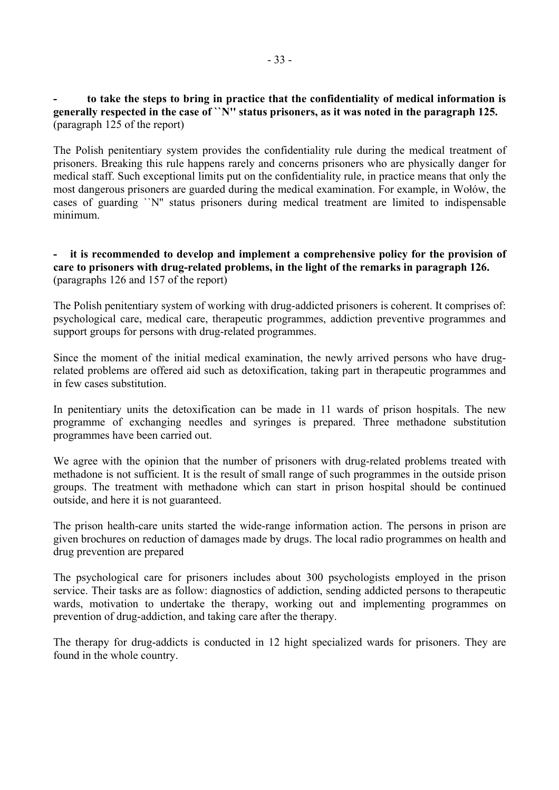## **- to take the steps to bring in practice that the confidentiality of medical information is generally respected in the case of ``N'' status prisoners, as it was noted in the paragraph 125.**  (paragraph 125 of the report)

The Polish penitentiary system provides the confidentiality rule during the medical treatment of prisoners. Breaking this rule happens rarely and concerns prisoners who are physically danger for medical staff. Such exceptional limits put on the confidentiality rule, in practice means that only the most dangerous prisoners are guarded during the medical examination. For example, in Wołów, the cases of guarding ``N'' status prisoners during medical treatment are limited to indispensable minimum.

## **- it is recommended to develop and implement a comprehensive policy for the provision of care to prisoners with drug-related problems, in the light of the remarks in paragraph 126.**  (paragraphs 126 and 157 of the report)

The Polish penitentiary system of working with drug-addicted prisoners is coherent. It comprises of: psychological care, medical care, therapeutic programmes, addiction preventive programmes and support groups for persons with drug-related programmes.

Since the moment of the initial medical examination, the newly arrived persons who have drugrelated problems are offered aid such as detoxification, taking part in therapeutic programmes and in few cases substitution.

In penitentiary units the detoxification can be made in 11 wards of prison hospitals. The new programme of exchanging needles and syringes is prepared. Three methadone substitution programmes have been carried out.

We agree with the opinion that the number of prisoners with drug-related problems treated with methadone is not sufficient. It is the result of small range of such programmes in the outside prison groups. The treatment with methadone which can start in prison hospital should be continued outside, and here it is not guaranteed.

The prison health-care units started the wide-range information action. The persons in prison are given brochures on reduction of damages made by drugs. The local radio programmes on health and drug prevention are prepared

The psychological care for prisoners includes about 300 psychologists employed in the prison service. Their tasks are as follow: diagnostics of addiction, sending addicted persons to therapeutic wards, motivation to undertake the therapy, working out and implementing programmes on prevention of drug-addiction, and taking care after the therapy.

The therapy for drug-addicts is conducted in 12 hight specialized wards for prisoners. They are found in the whole country.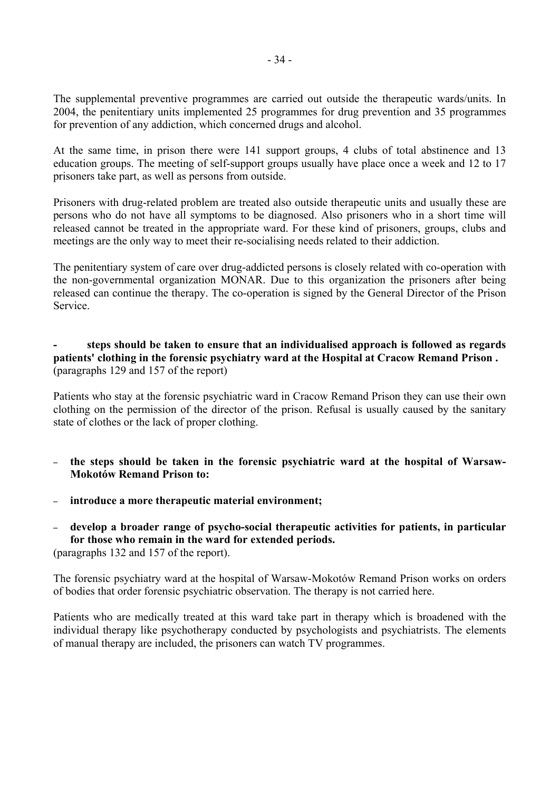The supplemental preventive programmes are carried out outside the therapeutic wards/units. In 2004, the penitentiary units implemented 25 programmes for drug prevention and 35 programmes for prevention of any addiction, which concerned drugs and alcohol.

At the same time, in prison there were 141 support groups, 4 clubs of total abstinence and 13 education groups. The meeting of self-support groups usually have place once a week and 12 to 17 prisoners take part, as well as persons from outside.

Prisoners with drug-related problem are treated also outside therapeutic units and usually these are persons who do not have all symptoms to be diagnosed. Also prisoners who in a short time will released cannot be treated in the appropriate ward. For these kind of prisoners, groups, clubs and meetings are the only way to meet their re-socialising needs related to their addiction.

The penitentiary system of care over drug-addicted persons is closely related with co-operation with the non-governmental organization MONAR. Due to this organization the prisoners after being released can continue the therapy. The co-operation is signed by the General Director of the Prison Service.

# **- steps should be taken to ensure that an individualised approach is followed as regards patients' clothing in the forensic psychiatry ward at the Hospital at Cracow Remand Prison .**  (paragraphs 129 and 157 of the report)

Patients who stay at the forensic psychiatric ward in Cracow Remand Prison they can use their own clothing on the permission of the director of the prison. Refusal is usually caused by the sanitary state of clothes or the lack of proper clothing.

- **the steps should be taken in the forensic psychiatric ward at the hospital of Warsaw-Mokotów Remand Prison to:**
- **introduce a more therapeutic material environment;**
- **develop a broader range of psycho-social therapeutic activities for patients, in particular for those who remain in the ward for extended periods.**

(paragraphs 132 and 157 of the report).

The forensic psychiatry ward at the hospital of Warsaw-Mokotów Remand Prison works on orders of bodies that order forensic psychiatric observation. The therapy is not carried here.

Patients who are medically treated at this ward take part in therapy which is broadened with the individual therapy like psychotherapy conducted by psychologists and psychiatrists. The elements of manual therapy are included, the prisoners can watch TV programmes.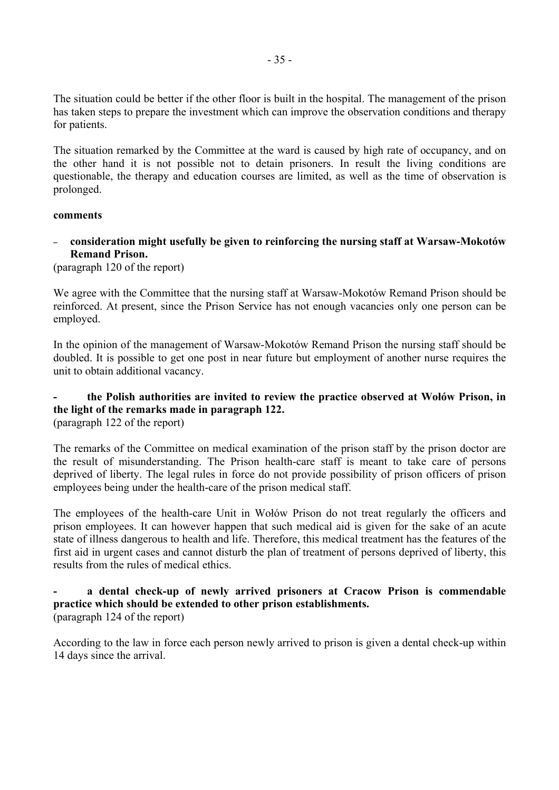The situation could be better if the other floor is built in the hospital. The management of the prison has taken steps to prepare the investment which can improve the observation conditions and therapy for patients.

The situation remarked by the Committee at the ward is caused by high rate of occupancy, and on the other hand it is not possible not to detain prisoners. In result the living conditions are questionable, the therapy and education courses are limited, as well as the time of observation is prolonged.

## **comments**

– **consideration might usefully be given to reinforcing the nursing staff at Warsaw-MokotÛw Remand Prison.** 

(paragraph 120 of the report)

We agree with the Committee that the nursing staff at Warsaw-Mokotów Remand Prison should be reinforced. At present, since the Prison Service has not enough vacancies only one person can be employed.

In the opinion of the management of Warsaw-Mokotów Remand Prison the nursing staff should be doubled. It is possible to get one post in near future but employment of another nurse requires the unit to obtain additional vacancy.

# the Polish authorities are invited to review the practice observed at Wołów Prison, in **the light of the remarks made in paragraph 122.**

(paragraph 122 of the report)

The remarks of the Committee on medical examination of the prison staff by the prison doctor are the result of misunderstanding. The Prison health-care staff is meant to take care of persons deprived of liberty. The legal rules in force do not provide possibility of prison officers of prison employees being under the health-care of the prison medical staff.

The employees of the health-care Unit in Wołów Prison do not treat regularly the officers and prison employees. It can however happen that such medical aid is given for the sake of an acute state of illness dangerous to health and life. Therefore, this medical treatment has the features of the first aid in urgent cases and cannot disturb the plan of treatment of persons deprived of liberty, this results from the rules of medical ethics.

## **- a dental check-up of newly arrived prisoners at Cracow Prison is commendable practice which should be extended to other prison establishments.**  (paragraph 124 of the report)

According to the law in force each person newly arrived to prison is given a dental check-up within 14 days since the arrival.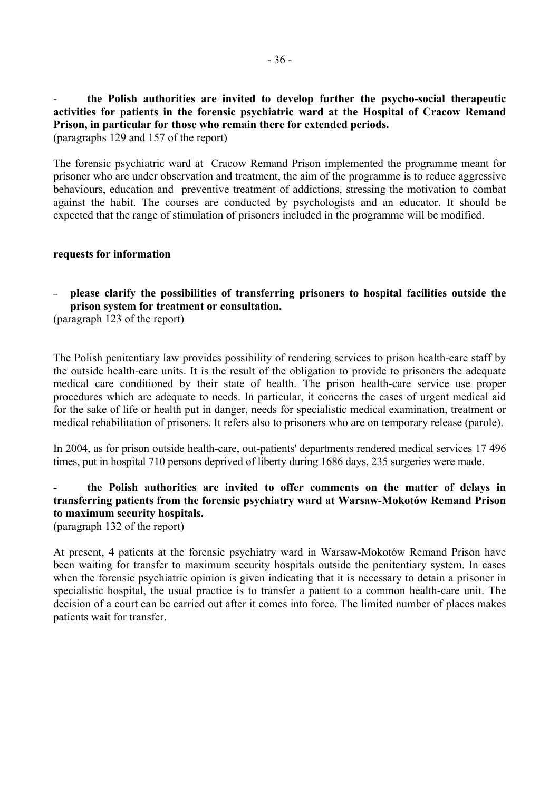- **the Polish authorities are invited to develop further the psycho-social therapeutic activities for patients in the forensic psychiatric ward at the Hospital of Cracow Remand Prison, in particular for those who remain there for extended periods.** 

(paragraphs 129 and 157 of the report)

The forensic psychiatric ward at Cracow Remand Prison implemented the programme meant for prisoner who are under observation and treatment, the aim of the programme is to reduce aggressive behaviours, education and preventive treatment of addictions, stressing the motivation to combat against the habit. The courses are conducted by psychologists and an educator. It should be expected that the range of stimulation of prisoners included in the programme will be modified.

#### **requests for information**

# – **please clarify the possibilities of transferring prisoners to hospital facilities outside the prison system for treatment or consultation.**

(paragraph 123 of the report)

The Polish penitentiary law provides possibility of rendering services to prison health-care staff by the outside health-care units. It is the result of the obligation to provide to prisoners the adequate medical care conditioned by their state of health. The prison health-care service use proper procedures which are adequate to needs. In particular, it concerns the cases of urgent medical aid for the sake of life or health put in danger, needs for specialistic medical examination, treatment or medical rehabilitation of prisoners. It refers also to prisoners who are on temporary release (parole).

In 2004, as for prison outside health-care, out-patients' departments rendered medical services 17 496 times, put in hospital 710 persons deprived of liberty during 1686 days, 235 surgeries were made.

# **- the Polish authorities are invited to offer comments on the matter of delays in**  transferring patients from the forensic psychiatry ward at Warsaw-Mokotów Remand Prison **to maximum security hospitals.**

(paragraph 132 of the report)

At present, 4 patients at the forensic psychiatry ward in Warsaw-Mokotów Remand Prison have been waiting for transfer to maximum security hospitals outside the penitentiary system. In cases when the forensic psychiatric opinion is given indicating that it is necessary to detain a prisoner in specialistic hospital, the usual practice is to transfer a patient to a common health-care unit. The decision of a court can be carried out after it comes into force. The limited number of places makes patients wait for transfer.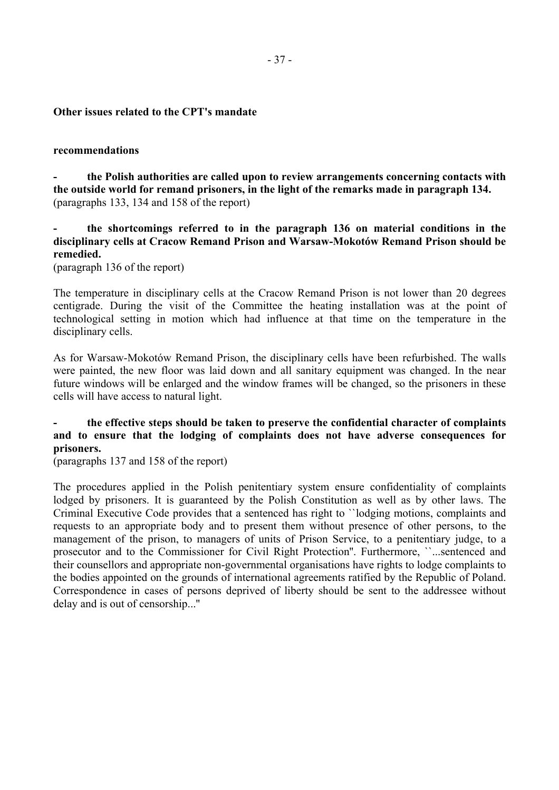### **Other issues related to the CPT's mandate**

#### **recommendations**

**- the Polish authorities are called upon to review arrangements concerning contacts with the outside world for remand prisoners, in the light of the remarks made in paragraph 134.**  (paragraphs 133, 134 and 158 of the report)

**- the shortcomings referred to in the paragraph 136 on material conditions in the**  disciplinary cells at Cracow Remand Prison and Warsaw-Mokotów Remand Prison should be **remedied.** 

(paragraph 136 of the report)

The temperature in disciplinary cells at the Cracow Remand Prison is not lower than 20 degrees centigrade. During the visit of the Committee the heating installation was at the point of technological setting in motion which had influence at that time on the temperature in the disciplinary cells.

As for Warsaw-Mokotów Remand Prison, the disciplinary cells have been refurbished. The walls were painted, the new floor was laid down and all sanitary equipment was changed. In the near future windows will be enlarged and the window frames will be changed, so the prisoners in these cells will have access to natural light.

# **- the effective steps should be taken to preserve the confidential character of complaints and to ensure that the lodging of complaints does not have adverse consequences for prisoners.**

(paragraphs 137 and 158 of the report)

The procedures applied in the Polish penitentiary system ensure confidentiality of complaints lodged by prisoners. It is guaranteed by the Polish Constitution as well as by other laws. The Criminal Executive Code provides that a sentenced has right to ``lodging motions, complaints and requests to an appropriate body and to present them without presence of other persons, to the management of the prison, to managers of units of Prison Service, to a penitentiary judge, to a prosecutor and to the Commissioner for Civil Right Protection''. Furthermore, ``...sentenced and their counsellors and appropriate non-governmental organisations have rights to lodge complaints to the bodies appointed on the grounds of international agreements ratified by the Republic of Poland. Correspondence in cases of persons deprived of liberty should be sent to the addressee without delay and is out of censorship...''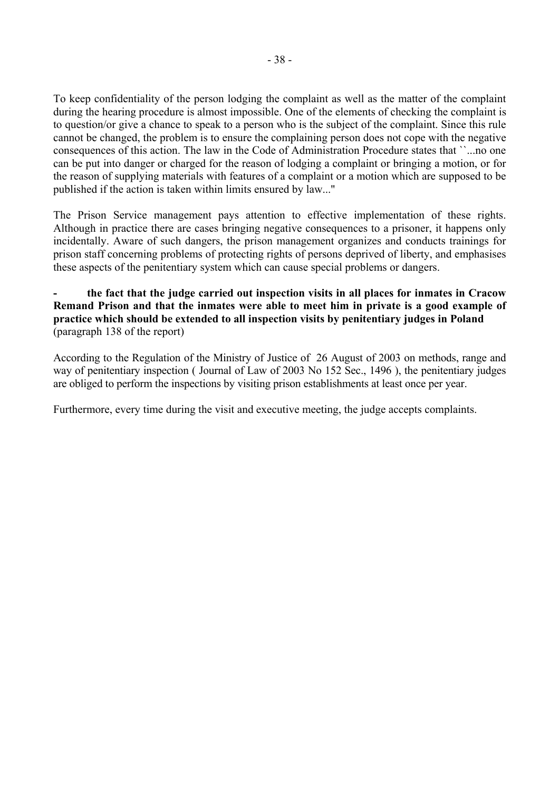To keep confidentiality of the person lodging the complaint as well as the matter of the complaint during the hearing procedure is almost impossible. One of the elements of checking the complaint is to question/or give a chance to speak to a person who is the subject of the complaint. Since this rule cannot be changed, the problem is to ensure the complaining person does not cope with the negative consequences of this action. The law in the Code of Administration Procedure states that ``...no one can be put into danger or charged for the reason of lodging a complaint or bringing a motion, or for the reason of supplying materials with features of a complaint or a motion which are supposed to be published if the action is taken within limits ensured by law...''

The Prison Service management pays attention to effective implementation of these rights. Although in practice there are cases bringing negative consequences to a prisoner, it happens only incidentally. Aware of such dangers, the prison management organizes and conducts trainings for prison staff concerning problems of protecting rights of persons deprived of liberty, and emphasises these aspects of the penitentiary system which can cause special problems or dangers.

# **- the fact that the judge carried out inspection visits in all places for inmates in Cracow Remand Prison and that the inmates were able to meet him in private is a good example of practice which should be extended to all inspection visits by penitentiary judges in Poland**  (paragraph 138 of the report)

According to the Regulation of the Ministry of Justice of 26 August of 2003 on methods, range and way of penitentiary inspection ( Journal of Law of 2003 No 152 Sec., 1496 ), the penitentiary judges are obliged to perform the inspections by visiting prison establishments at least once per year.

Furthermore, every time during the visit and executive meeting, the judge accepts complaints.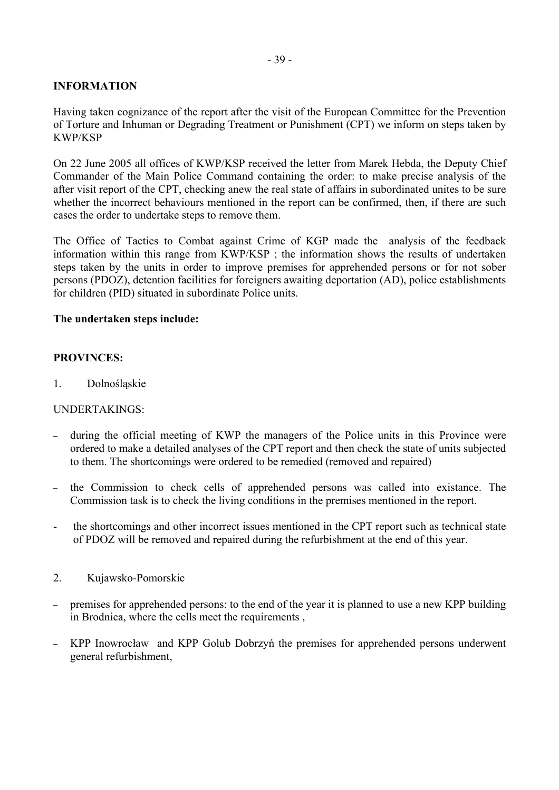# **INFORMATION**

Having taken cognizance of the report after the visit of the European Committee for the Prevention of Torture and Inhuman or Degrading Treatment or Punishment (CPT) we inform on steps taken by KWP/KSP

On 22 June 2005 all offices of KWP/KSP received the letter from Marek Hebda, the Deputy Chief Commander of the Main Police Command containing the order: to make precise analysis of the after visit report of the CPT, checking anew the real state of affairs in subordinated unites to be sure whether the incorrect behaviours mentioned in the report can be confirmed, then, if there are such cases the order to undertake steps to remove them.

The Office of Tactics to Combat against Crime of KGP made the analysis of the feedback information within this range from KWP/KSP ; the information shows the results of undertaken steps taken by the units in order to improve premises for apprehended persons or for not sober persons (PDOZ), detention facilities for foreigners awaiting deportation (AD), police establishments for children (PID) situated in subordinate Police units.

# **The undertaken steps include:**

# **PROVINCES:**

1. Dolnośląskie

## UNDERTAKINGS:

- during the official meeting of KWP the managers of the Police units in this Province were ordered to make a detailed analyses of the CPT report and then check the state of units subjected to them. The shortcomings were ordered to be remedied (removed and repaired)
- the Commission to check cells of apprehended persons was called into existance. The Commission task is to check the living conditions in the premises mentioned in the report.
- the shortcomings and other incorrect issues mentioned in the CPT report such as technical state of PDOZ will be removed and repaired during the refurbishment at the end of this year.
- 2. Kujawsko-Pomorskie
- premises for apprehended persons: to the end of the year it is planned to use a new KPP building in Brodnica, where the cells meet the requirements ,
- KPP Inowrocław and KPP Golub Dobrzyń the premises for apprehended persons underwent general refurbishment,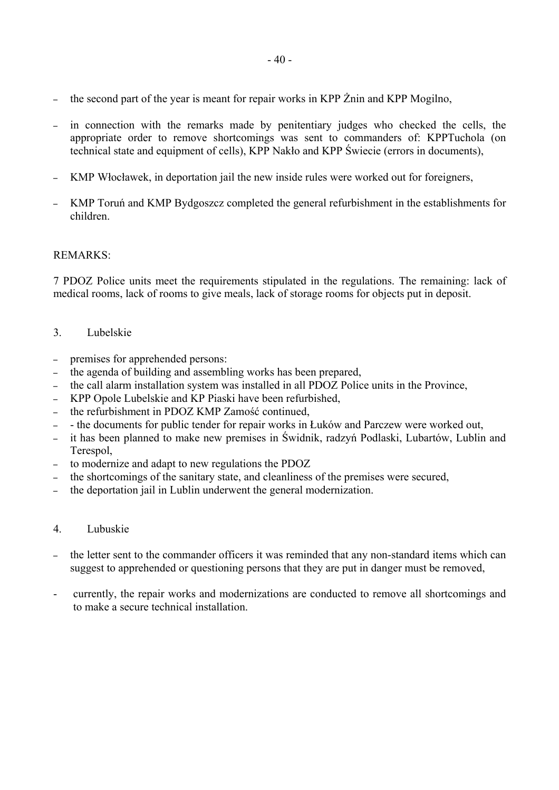- the second part of the year is meant for repair works in KPP Żnin and KPP Mogilno,
- in connection with the remarks made by penitentiary judges who checked the cells, the appropriate order to remove shortcomings was sent to commanders of: KPPTuchola (on technical state and equipment of cells), KPP Nakło and KPP Świecie (errors in documents),
- KMP Włocławek, in deportation jail the new inside rules were worked out for foreigners,
- KMP Toruń and KMP Bydgoszcz completed the general refurbishment in the establishments for children.

# REMARKS:

7 PDOZ Police units meet the requirements stipulated in the regulations. The remaining: lack of medical rooms, lack of rooms to give meals, lack of storage rooms for objects put in deposit.

- 3. Lubelskie
- premises for apprehended persons:
- the agenda of building and assembling works has been prepared,
- the call alarm installation system was installed in all PDOZ Police units in the Province,
- KPP Opole Lubelskie and KP Piaski have been refurbished,
- the refurbishment in PDOZ KMP Zamość continued,
- the documents for public tender for repair works in Łuków and Parczew were worked out,
- it has been planned to make new premises in Świdnik, radzyń Podlaski, Lubartów, Lublin and Terespol,
- to modernize and adapt to new regulations the PDOZ
- the shortcomings of the sanitary state, and cleanliness of the premises were secured,
- the deportation jail in Lublin underwent the general modernization.
- 4. Lubuskie
- the letter sent to the commander officers it was reminded that any non-standard items which can suggest to apprehended or questioning persons that they are put in danger must be removed,
- currently, the repair works and modernizations are conducted to remove all shortcomings and to make a secure technical installation.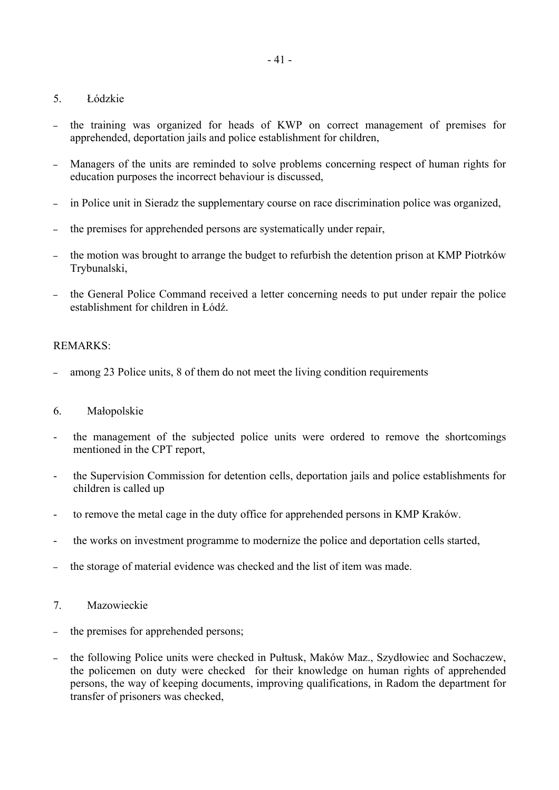# 5. Łódzkie

- the training was organized for heads of KWP on correct management of premises for apprehended, deportation jails and police establishment for children,
- Managers of the units are reminded to solve problems concerning respect of human rights for education purposes the incorrect behaviour is discussed,
- in Police unit in Sieradz the supplementary course on race discrimination police was organized,
- the premises for apprehended persons are systematically under repair,
- the motion was brought to arrange the budget to refurbish the detention prison at KMP Piotrków Trybunalski,
- the General Police Command received a letter concerning needs to put under repair the police establishment for children in Łódź.

# REMARKS:

– among 23 Police units, 8 of them do not meet the living condition requirements

# 6. Małopolskie

- the management of the subjected police units were ordered to remove the shortcomings mentioned in the CPT report,
- the Supervision Commission for detention cells, deportation jails and police establishments for children is called up
- to remove the metal cage in the duty office for apprehended persons in KMP Kraków.
- the works on investment programme to modernize the police and deportation cells started,
- the storage of material evidence was checked and the list of item was made.
- 7. Mazowieckie
- the premises for apprehended persons;
- the following Police units were checked in Pułtusk, Maków Maz., Szydłowiec and Sochaczew, the policemen on duty were checked for their knowledge on human rights of apprehended persons, the way of keeping documents, improving qualifications, in Radom the department for transfer of prisoners was checked,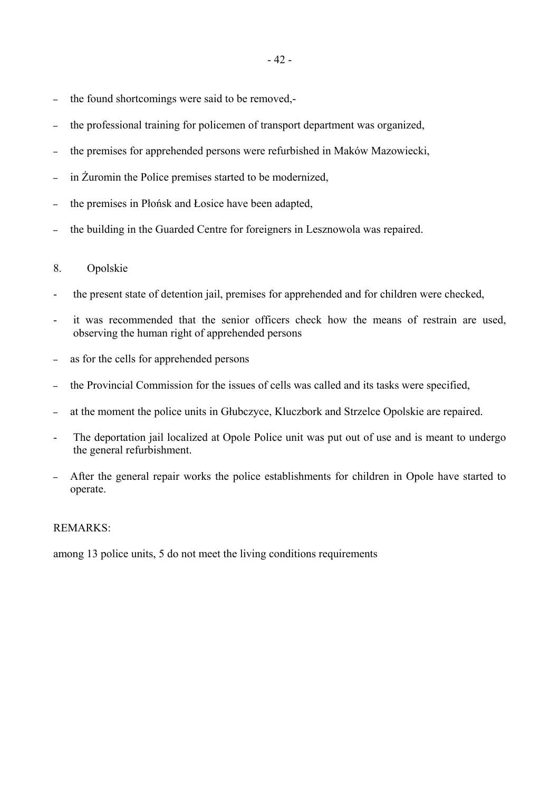- the found shortcomings were said to be removed,-
- the professional training for policemen of transport department was organized,
- the premises for apprehended persons were refurbished in Maków Mazowiecki,
- in Żuromin the Police premises started to be modernized,
- the premises in Płońsk and Łosice have been adapted,
- the building in the Guarded Centre for foreigners in Lesznowola was repaired.

## 8. Opolskie

- the present state of detention jail, premises for apprehended and for children were checked,
- it was recommended that the senior officers check how the means of restrain are used, observing the human right of apprehended persons
- as for the cells for apprehended persons
- the Provincial Commission for the issues of cells was called and its tasks were specified,
- at the moment the police units in Głubczyce, Kluczbork and Strzelce Opolskie are repaired.
- The deportation jail localized at Opole Police unit was put out of use and is meant to undergo the general refurbishment.
- After the general repair works the police establishments for children in Opole have started to operate.

## REMARKS:

among 13 police units, 5 do not meet the living conditions requirements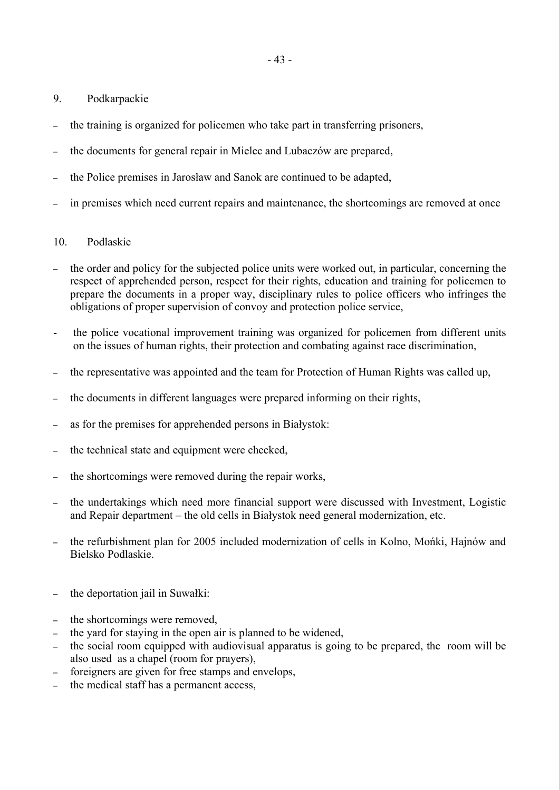- 9. Podkarpackie
- the training is organized for policemen who take part in transferring prisoners,
- the documents for general repair in Mielec and Lubaczów are prepared,
- the Police premises in Jarosław and Sanok are continued to be adapted,
- in premises which need current repairs and maintenance, the shortcomings are removed at once

# 10. Podlaskie

- the order and policy for the subjected police units were worked out, in particular, concerning the respect of apprehended person, respect for their rights, education and training for policemen to prepare the documents in a proper way, disciplinary rules to police officers who infringes the obligations of proper supervision of convoy and protection police service,
- the police vocational improvement training was organized for policemen from different units on the issues of human rights, their protection and combating against race discrimination,
- the representative was appointed and the team for Protection of Human Rights was called up,
- the documents in different languages were prepared informing on their rights,
- as for the premises for apprehended persons in Białystok:
- the technical state and equipment were checked,
- the shortcomings were removed during the repair works,
- the undertakings which need more financial support were discussed with Investment, Logistic and Repair department – the old cells in Białystok need general modernization, etc.
- the refurbishment plan for 2005 included modernization of cells in Kolno, Mońki, Hajnów and Bielsko Podlaskie.
- the deportation jail in Suwałki:
- the shortcomings were removed,
- the yard for staying in the open air is planned to be widened,
- the social room equipped with audiovisual apparatus is going to be prepared, the room will be also used as a chapel (room for prayers),
- foreigners are given for free stamps and envelops,
- the medical staff has a permanent access,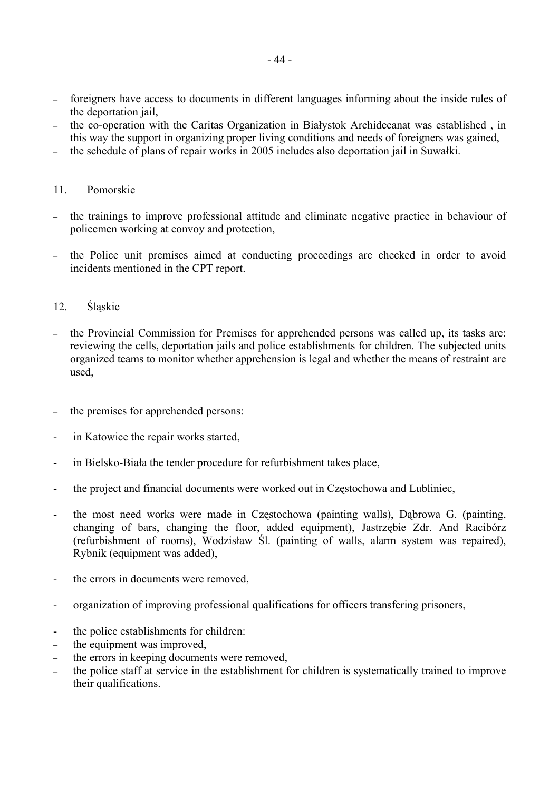- foreigners have access to documents in different languages informing about the inside rules of the deportation jail,
- the co-operation with the Caritas Organization in Białystok Archidecanat was established , in this way the support in organizing proper living conditions and needs of foreigners was gained,
- the schedule of plans of repair works in 2005 includes also deportation jail in Suwałki.

# 11. Pomorskie

- the trainings to improve professional attitude and eliminate negative practice in behaviour of policemen working at convoy and protection,
- the Police unit premises aimed at conducting proceedings are checked in order to avoid incidents mentioned in the CPT report.

# 12. Śląskie

- the Provincial Commission for Premises for apprehended persons was called up, its tasks are: reviewing the cells, deportation jails and police establishments for children. The subjected units organized teams to monitor whether apprehension is legal and whether the means of restraint are used,
- the premises for apprehended persons:
- in Katowice the repair works started,
- in Bielsko-Biała the tender procedure for refurbishment takes place,
- the project and financial documents were worked out in Częstochowa and Lubliniec,
- the most need works were made in Częstochowa (painting walls), Dąbrowa G. (painting, changing of bars, changing the floor, added equipment), Jastrzębie Zdr. And Racibórz (refurbishment of rooms), Wodzisław Śl. (painting of walls, alarm system was repaired), Rybnik (equipment was added),
- the errors in documents were removed,
- organization of improving professional qualifications for officers transfering prisoners,
- the police establishments for children:
- the equipment was improved,
- the errors in keeping documents were removed,
- the police staff at service in the establishment for children is systematically trained to improve their qualifications.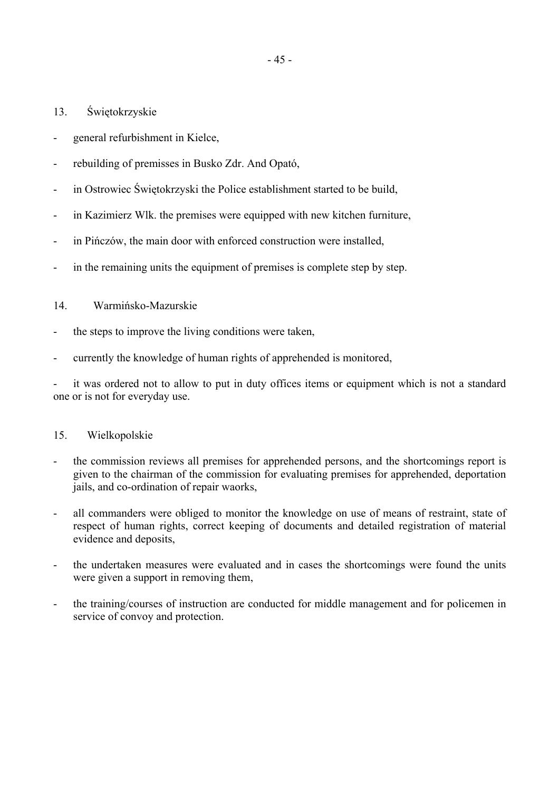- 13. Świętokrzyskie
- general refurbishment in Kielce,
- rebuilding of premisses in Busko Zdr. And Opató,
- in Ostrowiec Świętokrzyski the Police establishment started to be build,
- in Kazimierz Wlk. the premises were equipped with new kitchen furniture,
- in Pińczów, the main door with enforced construction were installed,
- in the remaining units the equipment of premises is complete step by step.

# 14. Warmińsko-Mazurskie

- the steps to improve the living conditions were taken,
- currently the knowledge of human rights of apprehended is monitored,

it was ordered not to allow to put in duty offices items or equipment which is not a standard one or is not for everyday use.

# 15. Wielkopolskie

- the commission reviews all premises for apprehended persons, and the shortcomings report is given to the chairman of the commission for evaluating premises for apprehended, deportation jails, and co-ordination of repair waorks,
- all commanders were obliged to monitor the knowledge on use of means of restraint, state of respect of human rights, correct keeping of documents and detailed registration of material evidence and deposits,
- the undertaken measures were evaluated and in cases the shortcomings were found the units were given a support in removing them,
- the training/courses of instruction are conducted for middle management and for policemen in service of convoy and protection.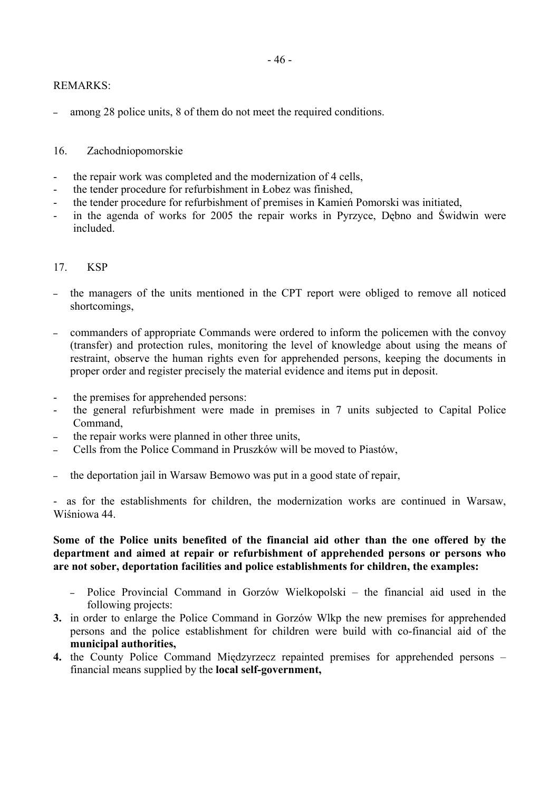# REMARKS:

– among 28 police units, 8 of them do not meet the required conditions.

# 16. Zachodniopomorskie

- the repair work was completed and the modernization of 4 cells,
- the tender procedure for refurbishment in Łobez was finished,
- the tender procedure for refurbishment of premises in Kamień Pomorski was initiated,
- in the agenda of works for 2005 the repair works in Pyrzyce, Dębno and Świdwin were included.

## 17. KSP

- the managers of the units mentioned in the CPT report were obliged to remove all noticed shortcomings,
- commanders of appropriate Commands were ordered to inform the policemen with the convoy (transfer) and protection rules, monitoring the level of knowledge about using the means of restraint, observe the human rights even for apprehended persons, keeping the documents in proper order and register precisely the material evidence and items put in deposit.
- the premises for apprehended persons:
- the general refurbishment were made in premises in 7 units subjected to Capital Police Command,
- the repair works were planned in other three units,
- Cells from the Police Command in Pruszków will be moved to Piastów,
- the deportation jail in Warsaw Bemowo was put in a good state of repair,

- as for the establishments for children, the modernization works are continued in Warsaw, Wiśniowa 44

## **Some of the Police units benefited of the financial aid other than the one offered by the department and aimed at repair or refurbishment of apprehended persons or persons who are not sober, deportation facilities and police establishments for children, the examples:**

- Police Provincial Command in Gorzów Wielkopolski the financial aid used in the following projects:
- **3.** in order to enlarge the Police Command in Gorzów Wlkp the new premises for apprehended persons and the police establishment for children were build with co-financial aid of the **municipal authorities,**
- 4. the County Police Command Międzyrzecz repainted premises for apprehended persons financial means supplied by the **local self-government,**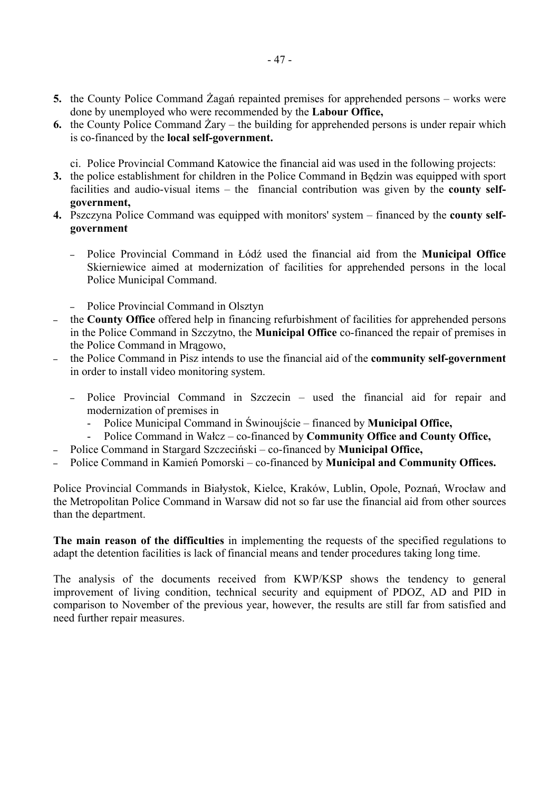- **5.** the County Police Command Żagań repainted premises for apprehended persons works were done by unemployed who were recommended by the **Labour Office,**
- **6.** the County Police Command  $\bar{Z}$ ary the building for apprehended persons is under repair which is co-financed by the **local self-government.** 
	- ci. Police Provincial Command Katowice the financial aid was used in the following projects:
- **3.** the police establishment for children in the Police Command in Będzin was equipped with sport facilities and audio-visual items – the financial contribution was given by the **county selfgovernment,**
- 4. Pszczyna Police Command was equipped with monitors' system financed by the **county selfgovernment** 
	- Police Provincial Command in Łódź used the financial aid from the **Municipal Office** Skierniewice aimed at modernization of facilities for apprehended persons in the local Police Municipal Command.
	- Police Provincial Command in Olsztyn
- the **County Office** offered help in financing refurbishment of facilities for apprehended persons in the Police Command in Szczytno, the **Municipal Office** co-financed the repair of premises in the Police Command in Mrągowo,
- the Police Command in Pisz intends to use the financial aid of the **community self-government** in order to install video monitoring system.
	- Police Provincial Command in Szczecin used the financial aid for repair and modernization of premises in
		- Police Municipal Command in Świnoujście financed by **Municipal Office,**
		- Police Command in Wałcz co-financed by **Community Office and County Office,**
- Police Command in Stargard Szczeciński co-financed by **Municipal Office,**
- Police Command in Kamień Pomorski ñ co-financed by **Municipal and Community Offices.**

Police Provincial Commands in Białystok, Kielce, Kraków, Lublin, Opole, Poznań, Wrocław and the Metropolitan Police Command in Warsaw did not so far use the financial aid from other sources than the department.

**The main reason of the difficulties** in implementing the requests of the specified regulations to adapt the detention facilities is lack of financial means and tender procedures taking long time.

The analysis of the documents received from KWP/KSP shows the tendency to general improvement of living condition, technical security and equipment of PDOZ, AD and PID in comparison to November of the previous year, however, the results are still far from satisfied and need further repair measures.